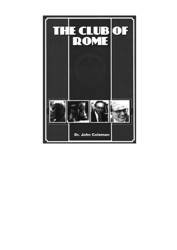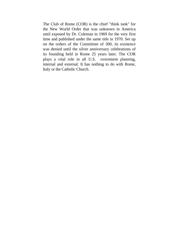The Club of Rome (COR) is the chief "think tank" for the New World Order that was unknown in America until exposed by Dr. Coleman in 1969 for the very first time and published under the same title in 1970. Set up on the orders of the Committee of 300, its existence was denied until the silver anniversary celebrations of its founding held in Rome 25 years later. The COR plays a vital role in all U.S. overnment planning, internal and external. It has nothing to do with Rome, Italy or the Catholic Church.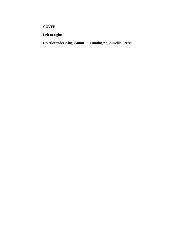**COVER:**

**Left to right:**

**Dr. Alexander King, Samuel P. Huntington, Aurellio Peccei**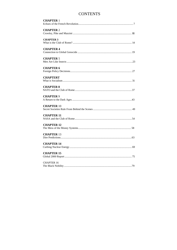## **CONTENTS**

| <b>CHAPTER 1</b>  |
|-------------------|
| <b>CHAPTER 2</b>  |
| <b>CHAPTER 3</b>  |
| <b>CHAPTER 4</b>  |
| <b>CHAPTER 5</b>  |
| <b>CHAPTER 6</b>  |
| <b>CHAPTERT</b>   |
| <b>CHAPTER 8</b>  |
| <b>CHAPTER 9</b>  |
| <b>CHAPTER 10</b> |
| <b>CHAPTER 11</b> |
| <b>CHAPTER 12</b> |
| <b>CHAPTER 13</b> |
| <b>CHAPTER 14</b> |
| <b>CHAPTER 15</b> |
| <b>CHAPTER 16</b> |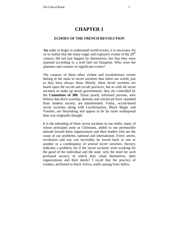#### **ECHOES OF THE FRENCH REVOLUTION**

**An** order to begin to understand world events, it is necessary for us to realize that the many tragic and explosive events of the  $20<sup>th</sup>$ century did not just happen by themselves; but that they were planned according to a well laid out blueprint. Who were the planners and creators of significant events?

The creators of these often violent and revolutionary events belong in the main to secret societies that infest our world, just as they have always done. Mostly, these secret societies are based upon the occult and occult practices, but as with all secret societies to make up secret governments, they are controlled by the **Committee of 300.** Those poorly informed persons, who believe that devil worship, demons and witchcraft have vanished from modern society, are misinformed. Today, occult-based secret societies along with Luciferianism, Black Magic and Voodoo, are flourishing and appear to be far more widespread than was originally thought.

It is the tolerating of these secret societies in our midst, many of whose principals pose as Christians, added to our permissible attitude toward these organizations and their leaders who are the cause of our problems, national and international. Every unrest, revolution and war can inevitably be traced back to one or another or a combination of several secret societies. Secrecy indicates a problem, for if the secret societies were working for the good of the individual and the state, why the need for such profound secrecy in which they cloak themselves, their organizations and their deeds? I recall that the practice of voodoo, attributed to black Africa, really sprang from Jethro,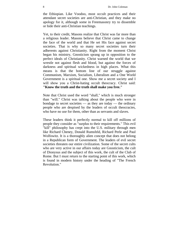the Ethiopian. Like Voodoo, most occult practices and their attendant secret societies are anti-Christian, and they make no apology for it, although some in Freemasonry try to dissemble or hide their anti-Christian teachings.

Yet, to their credit, Masons realize that Christ was far more than a religious leader. Masons believe that Christ came to change the face of the world and that He set His face against secret societies. That is why so many secret societies turn their adherents against Christianity. Right from the moment Christ began his ministry, Gnosticism sprang up in opposition to the perfect ideals of Christianity. Christ warned the world that we wrestle not against flesh and blood, but against the forces of darkness and spiritual wickedness in high places. What this means is that the bottom line of our struggle against Communism, Marxism, Socialism, Liberalism and a One World Government is a spiritual one. Show me a secret society and I will show you a Christ-hating occult theocracy. Christ said: **"Know the truth and the truth shall make you free."**

Note that Christ used the word "shall," which is much stronger than "will." Christ was talking about the people who were in bondage to secret societies — as they are today — the ordinary people who are despised by the leaders of occult theocracies, who have no use for them, other than as servants and slaves.

These leaders think it perfectly normal to kill off millions of people they consider as "surplus to their requirements." This evil "kill" philosophy has crept into the U.S. military through men like Richard Cheney, Donald Rumsfeld, Richard Perle and Paul Wolfowitz. It is a thoroughly alien concept that does not belong in a Republican form of Government. The leaders of evil secret societies threaten our entire civilization. Some of the secret cults who are very active in our affairs today are Gnosticism, the cult of Dionysus and the subject of this work, the cult of the Club of Rome. But I must return to the starting point of this work, which is found in modern history under the heading of "The French Revolution."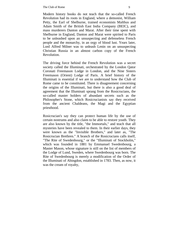Modern history books do not teach that the so-called French Revolution had its roots in England, where a demonist, William Petty, the Earl of Shelburne, trained economists Malthus and Adam Smith of the British East India Company (BEIC), and mass murderers Danton and Marat. After their time spent with Shelburne in England, Danton and Marat were spirited to Paris to be unleashed upon an unsuspecting and defenseless French people and the monarchy, in an orgy of blood lust. Years later, Lord Alfred Milner was to unleash Lenin on an unsuspecting Christian Russia in an almost carbon copy of the French Revolution.

The driving force behind the French Revolution was a secret society called the Illuminati, orchestrated by the London Qator Coronati Freemason Lodge in London, and the Nine Sisters Freemason (Orient) Lodge of Paris. A brief history of the Illuminati is essential if we are to understand how the Club of Rome came to be constituted. There is disagreement concerning the origins of the Illuminati, but there is also a good deal of agreement that the Illuminati sprang from the Rosicrucians, the so-called master holders of abundant secrets such as the Philosopher's Stone, which Rosicrucianists say they received from the ancient Chaldeans, the Magi and the Egyptian priesthood.

Rosicrucian's say they can protect human life by the use of certain nostrums and also claim to be able to restore youth. They are also known by the title, "the Immortals," and teach that all mysteries have been revealed to them. In their earlier days, they were known as the "Invisible Brothers," and later as, "The Rosicrucian Brethren." A branch of the Rosicrucians calls itself, "The Rite of Swedenbourg," or the "Illuminati of Stockholm," which was founded in 1881 by Emmanuel Swedenbourg, a Master Mason, whose signature is still on the list of members of the Lodge of Lund, Sweden, where Swedenbourg was born. The Rite of Swedenbourg is merely a modification of the Order of the Illuminati of Abingdon, established in 1783. Then, as now, it was the cream of royalty,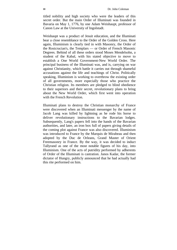titled nobility and high society who were the leaders of this secret order. But the main Order of Illuminati was founded in Bavaria on May 1, 1776, by one Adam Weishaupt, professor of Canon Law at the University of Ingolstadt.

Weishaupt was a product of Jesuit education, and the Illuminati bear a close resemblance to the Order of the Golden Cross. Here again, Illuminism is clearly tied in with Masonry, the Order of the Rosicrucian's, the Templars — or Order of French Masonic Degrees. Behind of all these orders stood Moses Mendelsohn, a student of the Kabal, with his stated objective to move to establish a One World Government-New World Order. The principal business of the Illuminati was, and is, carrying on war against Christianity, which battle it carries out through shameful accusations against the life and teachings of Christ. Politically speaking, Illuminism is working to overthrow the existing order of all governments, more especially those who practice the Christian religion. Its members are pledged to blind obedience to their superiors and their secret, revolutionary plans to bring about the New World Order, which first went into operation with the French Revolution.

Illuminati plans to destroy the Christian monarchy of France were discovered when an Illuminati messenger by the name of Jacob Lang was killed by lightning as he rode his horse to deliver revolutionary instructions to the Bavarian lodges. Subsequently, Lang's papers fell into the hands of the Bavarian authorities, and later, an iron box full of papers giving details of the coming plot against France was also discovered. Illuminism was introduced to France by the Marquis de Mirabeau and then adopted by the Duc de Orleans, Grand Master of Orient Freemasonry in France. By the way, it was decided to induct Tallyrand as one of the most notable figures of his day, into Illuminism. One of the acts of putridity performed by adherents of Order of the Illuminati is castration. Janos Kadar, the former dictator of Hungry, publicly announced that he had actually had this rite performed on him.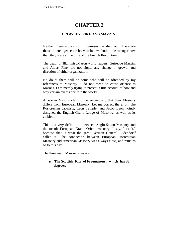#### **CROWLEY, PIKE** AND **MAZZINI**

Neither Freemasonry nor Illuminism has died out. There are those in intelligence circles who believe both to be stronger now than they were at the time of the French Revolution.

The death of Illuminist/Mason world leaders, Guiseppe Mazzini and Albert Pike, did not signal any change in growth and direction of either organization.

No doubt there will be some who will be offended by my references to Masonry. I do not mean to cause offense to Masons. I am merely trying to present a true account of how and why certain events occur in the world.

American Masons claim quite erroneously that their Masonry differs from European Masonry. Let me correct the error: The Rosicrucian cabalists, Leon Templer and Jacob Leon, jointly designed the English Grand Lodge of Masonry, as well as its emblem.

This is a very definite tie between Anglo-Saxon Masonry and the occult European Grand Orient masonry. I say, "occult," because that is what the great German General Ludendorff called it. The connection between European Rosicrucian Masonry and American Masonry was always close, and remains so to this day.

The three main Masonic rites are:

■ The Scottish Rite of Freemasonry which has 33 **degrees.**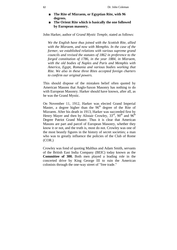- **The Rite of Mizraem, or Egyptian Rite, with 96 degrees.**
- **The Orient Rite which is basically the one followed by European masonry.**

John Harker, author of *Grand Mystic Temple,* stated as follows:

*We the English have thus joined with the Scottish Rite, allied with the Mizraem, and now with Memphis. In the case of the former, we established relations with various supreme grand councils and revised the statutes of 1862 in preference to the forged constitution of 1786, in the year 1884, in Mizraem, with the old bodies of Naples and Paris and Memphis with America, Egypt, Romania and various bodies working that Rite. We also in these three Rites accepted foreign charters to confirm our original powers.*

This should dispose of the mistaken belief often quoted by American Masons that Anglo-Saxon Masonry has nothing to do with European Masonry. Harker should have known, after all, as he was the Grand Mystic.

On November 11, 1912, Harker was elected Grand Imperial Master, a degree higher than the  $96<sup>th</sup>$  degree of the Rite of Mizraem. After his death in 1913, Harker was succeeded first by Henry Mayer and then by Alistair Crowley,  $33<sup>rd</sup>$ ,  $90<sup>th</sup>$  and  $96<sup>th</sup>$ Degree Patriot Grand Master. Thus it is clear that American Masons are part and parcel of European Masonry, whether they know it or not, and the truth is, most do not. Crowley was one of the most beastly figures in the history of secret societies; a man who was to greatly influence the policies of the Club of Rome (COR.)

Crowley was fond of quoting Malthus and Adam Smith, servants of the British East India Company (BEIC) today known as the **Committee of 300.** Both men played a leading role in the concerted drive by King George III to ruin the American colonists through the one-way street of "free trade."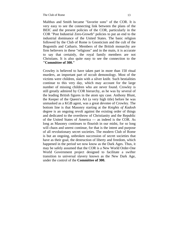Malthus and Smith became "favorite sons" of the COR. It is very easy to see the connecting link between the plans of the BEIC and the present policies of the COR, particularly in the COR "Post Industrial Zero-Growth" policies to put an end to the industrial dominance of the United States. The basic religion followed by the Club of Rome is Gnosticism and the cult of the Bogomils and Catharis. Members of the British monarchy are firm believers in these "religions" and in the main, it is accurate to say that certainly, the royal family members are not Christians. It is also quite easy to see the connection to the **"Committee of 300."**

Crowley is believed to have taken part in more than 150 ritual murders, an important part of occult demonology. Most of the victims were children, slain with a silver knife. Such bestialities continue to this very day, which may account for the large number of missing children who are never found. Crowley is still greatly admired by COR hierarchy, as he was by several of the leading British figures in the atom spy case. Anthony Blunt, the Keeper of the Queen's Art (a very high title) before he was unmasked as a KGB agent, was a great devotee of Crowley. The bottom line is that Masonry starting at the *Knights of Kadosh*  degree is an ongoing revolt against the existing order of things and dedicated to the overthrow of Christianity and the Republic of the United States of America — as indeed is the COR. As long as Masonry continues to flourish in our midst, for so long will chaos and unrest continue, for that is the intent and purpose of all revolutionary secret societies. The modern Club of Rome is but an ongoing, unbroken succession of secret societies that have as their goal, the destruction of liberty and freedom, which happened in the period we now know as the Dark Ages. Thus, it may be safely assumed that the COR is a New World Order-One World Government project designed to facilitate a swifter transition to universal slavery known as the New Dark Age, under the control of the **Committee of 300.**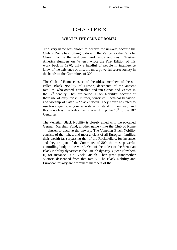#### **WHAT IS THE CLUB OF ROME?**

The very name was chosen to deceive the unwary, because the Club of Rome has nothing to do with the Vatican or the Catholic Church. While the evildoers work night and day, Christian America slumbers on. When I wrote the First Edition of this work back in 1970, only a handful of people in intelligence knew of the existence of this, the most powerful secret society in the hands of the Committee of 300.

The Club of Rome consists of the oldest members of the socalled Black Nobility of Europe, decedents of the ancient families, who owned, controlled and ran Genoa and Venice in the  $12<sup>th</sup>$  century. They are called "Black Nobility" because of their use of dirty tricks, murder, terrorism, unethical behavior, and worship of Satan -- "black" deeds. They never hesitated to use force against anyone who dared to stand in their way, and this is no less true today than it was during the  $13<sup>th</sup>$  to the  $18<sup>th</sup>$ Centuries.

The Venetian Black Nobility is closely allied with the so-called German Marshall Fund, another name - like the Club of Rome — chosen to deceive the unwary. The Venetian Black Nobility consists of the richest and most ancient of all European families, their wealth far surpassing that of the Rockefellers, for instance, and they are part of the Committee of 300, the most powerful controlling body in the world. One of the oldest of the Venetian Black Nobility dynasties is the Guelph dynasty. Queen Elizabeth II, for instance, is a Black Guelph - her great grandmother Victoria descended from that family. The Black Nobility and European royalty are prominent members of the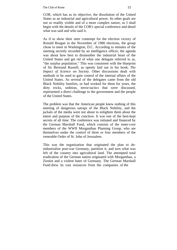COR, which has as its objective, the dissolution of the United States as an industrial and agricultural power. Its other goals are not so readily visible and of a more complex nature, so I shall begin with the details of the COR's special conference and detail what was said and who said it.

As if to show their utter contempt for the election victory of Ronald Reagan in the November of 1980 elections, the group chose to meet in Washington, D.C. According to minutes of the meeting secretly recorded by an intelligence officer, the agenda was about how best to dismember the industrial heart of the United States and get rid of what one delegate referred to as, "the surplus population." This was consistent with the blueprint of Sir Bertrand Russell, as openly laid out in his book, *The Impact of Science on Society.* Other discussions dealt with methods to be used to gain control of the internal affairs of the United States. As several of the delegates came from the old Black Nobility families, or had worked for them for years, the dirty tricks, sedition, terror-tactics that were discussed, represented a direct challenge to the government and the people of the United States.

The problem was that the American people knew nothing of this meeting of dangerous satraps of the Black Nobility, and the jackals of the media were not about to enlighten them about the intent and purpose of the conclave. It was one of the best-kept secrets of all time. The conference was initiated and financed by the German Marshall Fund, which consists of the inner-core members of the WWII Morganthau Planning Group, who are themselves under the control of three or four members of the venerable Order of St. John of Jerusalem.

This was the organization that originated the plan to deindustrialize post-war Germany, partition it, and turn what was left of the country into agricultural land. The attempted total eradication of the German nation originated with Morganthau, a Zionist and a violent hater of Germany. The German Marshall Fund drew its vast resources from the companies of the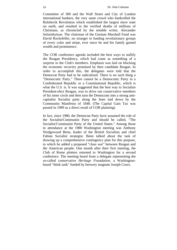Committee of 300 and the Wall Street and City of London international bankers, the very same crowd who bankrolled the Bolshevik Revolution which established the largest slave state on earth, and resulted in the verified deaths of millions of Christians, as chronicled by the notable writer, Alexander Solzenhytson. The chairman of the German Marshall Fund was David Rockefeller, no stranger to funding revolutionary groups of every color and stripe, ever since he and his family gained wealth and prominence.

The COR conference agenda included the best ways to nullify the Reagan Presidency, which had come as something of a surprise to the Club's members. Emphasis was laid on blocking the economic recovery promised by then candidate Reagan. In order to accomplish this, the delegates were told that the Democrat Party had to be radicalized. There is no such thing a "Democratic Party." There cannot be a Democratic Party in a Confederated Republic or a Constitutional Republic, which is what the U.S. is. It was suggested that the best way to Socialize President-elect Reagan, was to drive out conservative members of his inner circle and then turn the Democrats into a strong anticapitalist Socialist party along the lines laid down by the Communist Manifesto of 1848. (The Capital Gain Tax was passed in 1989 as a direct result of COR planning).

In fact, since 1980, the Democrat Party have assumed the role of the Socialist/Communist Party and should be called, "The Socialist/Communist Party of the United States." Among those in attendance at the 1980 Washington meeting was Anthony Wedgewood Benn, leader of the British Socialists and chief Fabian Socialist strategist. Benn talked about the task of drawing up a comprehensive contingency plan for this purpose, to which he added a proposed "class war" between Reagan and the American people. One month after their first meeting, the Club of Rome plotters returned to Washington for a second conference. The meeting heard from a delegate representing the so-called conservative *Heritage Foundation,* a Washingtonbased "think tank" funded by brewery magnate Joseph Coors.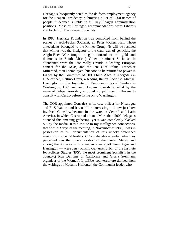Heritage subsequently acted as the de facto employment agency for the Reagan Presidency, submitting a list of 3000 names of people it deemed suitable to fill key Reagan administration positions. Most of Heritage's recommendations were Liberals and far left of Marx career Socialists.

In 1980, Heritage Foundation was controlled from behind the scenes by arch-Fabian Socialist, Sir Peter Vickers Hall, whose antecedents belonged to the Milner Group. (It will be recalled that Milner was the instigator of the cruel war of genocide, the Anglo-Boer War fought to gain control of the gold and diamonds in South Africa.) Other prominent Socialists in attendance were the late Willy Brandt, a leading European contact for the KGB, and the late Olaf Palme, Francoise Mitterand, then unemployed, but soon to be returned to power in France by the Committee of 300, Philip Agee, a renegade ex-CIA officer, Bettino Craxi, a leading Italian Socialist, Michael Harrington of the Institute of Democratic Social Studies in Washington, D.C. and an unknown Spanish Socialist by the name of Felipe Gonzalez, who had stopped over in Havana to consult with Castro before flying on to Washington.

The COR appointed Gonzalez as its case officer for Nicaragua and El Salvador, and it would be interesting to know just how involved Gonzalez became in the wars in Central and Latin America, in which Castro had a hand. More than 2000 delegates attended this amazing gathering, yet it was completely blacked out by the media. It is a tribute to my intelligence connections, that within 3 days of the meeting, in November of 1980, I was in possession of full documentation of this unholy watershed meeting of Socialist leaders. COR delegates attended what they perceived was the funeral oration of the United States, and among the Americans in attendance — apart from Agee and Harrington — were Jerry Rifkin, Gar Apelrovich of the Institute for Policies Studies (IPS), the most prominent Socialists in the country,) Ron Dellums of California and Gloria Steinham, organizer of the Women's Lib/ERA counterculture derived from the writings of Madame Kollontei, the Communist leader who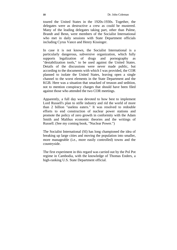toured the United States in the 1920s-1930s. Together, the delegates were as destructive a crew as could be mustered. Many of the leading delegates taking part, other than Palme, Brandt and Benn, were members of the Socialist International who met in daily sessions with State Department officials including Cyrus Vance and Henry Kissinger.

In case it is not known, the Socialist International is a particularly dangerous, subversive organization, which fully supports legalization of drugs and pornography as "destabilization tools," to be used against the United States. Details of the discussions were never made public, but according to the documents with which I was provided, the COR planned to isolate the United States, leaving open a single channel to the worst elements in the State Department and the KGB. Here was a situation that smacked of treason and sedition, not to mention conspiracy charges that should have been filed against those who attended the two COR meetings.

Apparently, a full day was devoted to how best to implement Lord Russell's plan to stifle industry and rid the world of more than 2 billion "useless eaters." It was resolved to redouble efforts to end construction of nuclear power stations and promote the policy of zero growth in conformity with the Adam Smith and Malthus economic theories and the writings of Russell. (See my coming book, "Nuclear Power.")

The Socialist International (SI) has long championed the idea of breaking up large cities and moving the population into smaller, more manageable (i.e., more easily controlled) towns and the countryside.

The first experiment in this regard was carried out by the Pol Pot regime in Cambodia, with the knowledge of Thomas Enders, a high-ranking U.S. State Department official.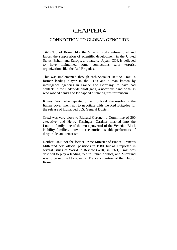## CONNECTION TO GLOBAL GENOCIDE

*The* Club of Rome, like the SI is strongly anti-national and favors the suppression of scientific development in the United States, Britain and Europe, and latterly, Japan. COR is believed to have maintained some connections with terrorist organizations like the Red Brigades.

This was implemented through arch-Socialist Bettino Craxi, a former leading player in the COR and a man known by intelligence agencies in France and Germany, to have had contacts in the Bader-Meinhoff gang, a notorious band of thugs who robbed banks and kidnapped public figures for ransom.

It was Craxi, who repeatedly tried to break the resolve of the Italian government not to negotiate with the Red Brigades for the release of kidnapped U.S. General Dozier.

Craxi was very close to Richard Gardner, a Committee of 300 executive, and Henry Kissinger. Gardner married into the Luccatti family, one of the most powerful of the Venetian Black Nobility families, known for centuries as able performers of dirty tricks and terrorism.

Neither Craxi nor the former Prime Minister of France, Francois Mitterand held official positions in 1980, but as I reported in several issues of World in Review (WIR) in 1971, Craxi was destined to play a leading role in Italian politics, and Mitterand was to be returned to power in France - courtesy of the Club of Rome.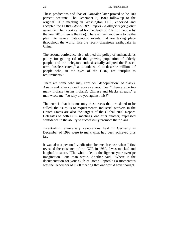These predictions and that of Gonzalez later proved to be 100 percent accurate. The December 5, 1980 follow-up to the original COR meeting in Washington D.C., endorsed and accepted the COR's *Global 2000 Report* - *a blueprint for global genocide.* The report called for the death of 2 billion people by the year 2010 (hence the title). There is much evidence to tie the plan into several catastrophic events that are taking place throughout the world, like the recent disastrous earthquake in China.

The second conference also adopted the policy of euthanasia as policy for getting rid of the growing population of elderly people, and the delegates enthusiastically adopted the Russell term, "useless eaters," as a code word to describe millions of people who, in the eyes of the COR, are "surplus to requirements."

There are some who may consider "depopulation" of blacks, Asians and other colored races as a good idea. "There are far too many Indians (Asian Indians), Chinese and blacks already," a man wrote me, "so why are you against this?"

The truth is that it is not only these races that are slated to be culled; the "surplus to requirements" industrial workers in the United States are also the targets of the Global 2000 Report. Delegates to both COR meetings, one after another, expressed confidence in the ability to successfully promote their plans.

Twenty-fifth anniversary celebrations held in Germany in December of 1993 were to mark what had been achieved thus far.

It was also a personal vindication for me, because when I first revealed the existence of the COR in 1969, I was mocked and laughed to scorn. "The whole idea is the figment your overripe imagination," one man wrote. Another said. "Where is the documentation for your Club of Rome Report?" So momentous was the December of 1980 meeting that one would have thought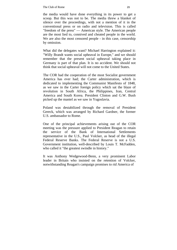the media would have done everything in its power to get a scoop. But this was not to be. The media threw a blanket of silence over the proceedings, with not a mention of it in the conventional press or on radio and television. This is called "freedom of the press" — American style. The American people are the most lied to, connived and cheated people in the world. We are also the most censored people - in this case, censorship by omission.

What did the delegates want? Michael Harrington explained it: "Willy Brandt wants social upheaval in Europe," and we should remember that the present social upheaval taking place in Germany is part of that plan. It is no accident. We should not think that social upheaval will not come to the United States.

The COR had the cooperation of the most Socialist government America has ever had; the Carter administration, which is dedicated to implementing the Communist Manifesto of 1848, as we saw in the Carter foreign policy which sat the blaze of revolution in South Africa, the Philippines, Iran, Central America and South Korea. President Clinton and G.W. Bush picked up the mantel as we saw in Yugoslavia.

Poland was destabilized through the removal of President Gereck, which was arranged by Richard Gardner, the former U.S. ambassador to Rome.

One of the principal achievements arising out of the COR meeting was the pressure applied to President Reagan to retain the service of the Bank of International Settlements representative in the U.S., Paul Volcker, as head of the illegal Federal Reserve Banks. The Federal Reserve is not a U.S. Government institution, well-described by Louis T. McFadden, who called it "the greatest swindle in history."

It was Anthony Wedgewood-Benn, a very prominent Labor leader in Britain who insisted on the retention of Volcker, notwithstanding Reagan's campaign promises to rid America of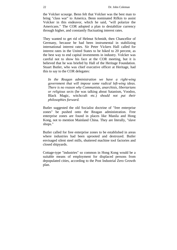the Volcker scourge. Benn felt that Volcker was the best man to bring "class war" to America. Benn nominated Rifkin to assist Volcker in this endeavor, which he said, "will polarize the Americans." The COR adopted a plan to destabilize currency through higher, and constantly fluctuating interest rates.

They wanted to get rid of Helmut Schmidt, then Chancellor of Germany, because he had been instrumental in stabilizing international interest rates. Sir Peter Vickers Hall called for interest rates in the United States to be hiked to 20 percent, as the best way to end capital investments in industry. Volcker was careful not to show his face at the COR meeting, but it is believed that he was briefed by Hall of the Heritage Foundation. Stuart Butler, who was chief executive officer at Heritage, had this to say to the COR delegates:

*In the Reagan administration we have a right-wing government that will impose some radical left-wing ideas. There is no reason why Communists, anarchists, libertarians or religious sects* (he was talking about Satanism, Voodoo, Black Magic, witchcraft etc.) *should not put their philosophies forward.*

Butler suggested the old Socialist doctrine of "free enterprise zones" be pushed onto the Reagan administration. Free enterprise zones are found in places like Manila and Hong Kong, not to mention Mainland China. They are literally, "slave shops."

Butler called for free enterprise zones to be established in areas where industries had been uprooted and destroyed. Butler envisaged silent steel mills, shuttered machine tool factories and closed shipyards.

Cottage-type "industries" so common in Hong Kong would be a suitable means of employment for displaced persons from depopulated cities, according to the Post Industrial Zero Growth plan.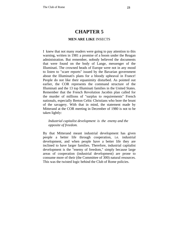#### **MEN ARE LIKE** INSECTS

I knew that not many readers were going to pay attention to this warning, written in 1981 a promise of a boom under the Reagan administration. But remember, nobody believed the documents that were found on the body of Lange, messenger of the Illuminati. The crowned heads of Europe were not in any mood to listen to "scare reports" issued by the Bavarian government about the Illuminati's plans for a bloody upheaval in France! People do not like their equanimity disturbed. As pointed out earlier, the COR represents the command structure of the Illuminati and the 13 top Illuminati families in the United States. Remember that the French Revolution Jacobin plan called for the murder of millions of "surplus to requirements" French nationals, especially Breton Celtic Christians who bore the brunt of the savagery. With that in mind, the statement made by Mitterand at the COR meeting in December of 1980 is not to be taken lightly:

*Industrial capitalist development is the enemy and the opposite of freedom.*

By that Mitterand meant industrial development has given people a better life through cooperation, i.e. industrial development, and when people have a better life they are inclined to have larger families. Therefore, industrial capitalist development is the "enemy of freedom," simply because large areas of cooperation (industrial development) are prone to consume more of their (the Committee of 300) natural resources. This was the twisted logic behind the Club of Rome policies.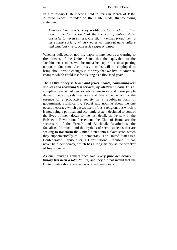In a follow-up COR meeting held in Paris in March of 1982, Aurellio Peccei, founder of **the** Club, made **the** following statement:

*Men are like insects. They proliferate too much . . . It is about time to put on trial the concept of nation states obstacles to world culture. Christianity makes proud men; a mercantile society, which creates nothing but dead culture and classical music, oppressive signs on paper.*

Whether believed or not, my paper is intended as a warning to **the** citizens of the United States that the equivalent of the Jacobin terror mobs will be unleashed upon our unsuspecting nation in due time. Jacobin-style mobs will be employed to bring about drastic changes in the way that we live in America, changes which could last for as long as a thousand years.

The COR's policy is *fewer and fewer people, consuming less and less and requiring less services, by whatever means.* **It** is a complete reversal of our society where more and more people demand better goods, services and life style, which is the essence of a productive society in a republican form of government. Significantly, Peccei said nothing about the one occult theocracy which passes itself off as a religion, but which it is not, being a political and economic system designed to control the lives of men, down to the last detail, as we saw in the Bolshevik Revolution. Peccei and the Club of Rome are the successors of the French and Bolshevik Revolutions, the Socialists, Illuminati and the myriads of secret societies that are seeking to transform the United States into a slave-state, which they euphemistically call, a democracy. The United States **is** a Confederated Republic or a Constitutional Republic. It can never be a democracy, which has a long history as the wrecker of free societies.

As our Founding Fathers once said, *every pure democracy in history has been a total failure,* and they did not intend that the United States should end up as a failed democracy.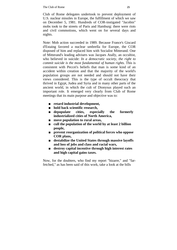Club of Rome delegates undertook to prevent deployment of U.S. nuclear missiles in Europe, the fulfillment of which we saw on December 5, 1981. Hundreds of COR-instigated "Jacobin" mobs took to the streets of Paris and Hamburg: there were riots and civil commotions, which went on for several days and nights.

Note: Mob action succeeded in 1989. Because France's Giscard d'Estaing favored a nuclear umbrella for Europe, the COR disposed of him and replaced him with Socialist Mitterand. One of Mitterand's leading advisers was Jacques Atally, an occultist, who believed in suicide: *In a democratic society, the right to commit suicide is the most fundamental of human rights.* This is consistent with Peccei's beliefs that man is some kind of an accident within creation and that the majority of the world's population groups are not needed and should not have their views considered. This is the type of occult theocracy that thrived in Egypt, Judea and Syria and in many other parts of the ancient world, in which the cult of Dionysus played such an important role. It emerged very clearly from Club of Rome meetings that its main purpose and objective was to:

- **retard industrial development,**
- **hold back scientific research.**
- **depopulate cities, especially the formerly industrialized cities of North America,**
- **move population to rural areas,**
- **cull the population of the world by at least 2 billion people,**
- **prevent reorganization of political forces who oppose COR plans,**
- **destabilize the United States through massive layoffs and loss of jobs and class and racial wars,**
- **destroy capital incentive through high interest rates and high capital gains taxes.**

Now, for the doubters, who find my report "bizarre," and "farfetched," as has been said of this work, take a look at the bills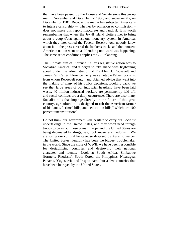that have been passed by the House and Senate since this group met in November and December of 1980, and subsequently, on December 5, 1981. Because the media has subjected Americans to intense censorship — whether by omission or commission  $\sim$ does not make this report inaccurate and fanciful. It is worth remembering that when, the Jekyll Island plotters met to bring about a coup d'etat against our monetary system in America, which they later called the Federal Reserve Act, nobody knew about it — the press covered the banker's tracks and the innocent American nation went on as if nothing untoward was happening. The same set of conditions applies to COR planning.

The ultimate aim of Florence Kelley's legislative action was to Socialize America, and it began to take shape with frightening speed under the administration of Franklin D. Roosevelt and James Earl Carter. Florence Kelly was a notable Fabian Socialist from whom Roosevelt sought and obtained advice that went into the making of many of his policy decisions. Looking back, we see that large areas of our industrial heartland have been laid waste, 40 million industrial workers are permanently laid off, and racial conflicts are a daily occurrence. There are also many Socialist bills that impinge directly on the future of this great country, agricultural bills designed to rob the American farmer of his lands, "crime" bills, and "education bills," which are 100 percent unconstitutional.

Do not think our government will hesitate to carry out Socialist undertakings in the United States, and they won't need foreign troops to carry out these plans. Europe and the United States are being decimated by drugs, sex, rock music and hedonism. We are losing our cultural heritage, so despised by Aurellio Peccei. The United States hierarchy has been the biggest troublemaker in the world. Since the close of WWII, we have been responsible for destabilizing countries and destroying their national character and identity. Look at South Africa, Zimbabwe (formerly Rhodesia), South Korea, the Philippines, Nicaragua, Panama, Yugoslavia and Iraq to name but a few countries that have been betrayed by the United States.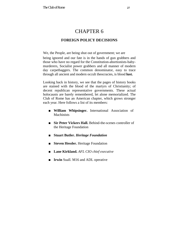### **FOREIGN POLICY DECISIONS**

We, the People, are being shut out of government; we are being ignored and our fate is in the hands of gun grabbers and those who have no regard for the Constitution-abortionists-babymurderers, Socialist power grabbers and all manner of modern day carpetbaggers. The common denominator, easy to trace through all ancient and modern occult theocracies, is blood **lust.**

Looking back in history, we see that the pages of history books are stained with the blood of the martyrs of Christianity; of decent republican representative governments. These actual holocausts are barely remembered, let alone memorialized. The Club of Rome has an American chapter, which grows stronger each year. Here follows a list of its members:

- **William Whipsinger.** International Association of Machinists
- **Sir Peter Vickers Hall.** Behind-the-scenes controller of the Heritage Foundation
- **Stuart Butler.** *Heritage Foundation*
- **Steven Hessler.** Heritage Foundation
- **Lane Kirkland.** *AFL CIO chief executive*
- **Irwin** Suall. M16 and ADL operative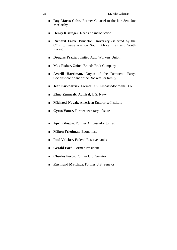- **Roy Maras Cohn.** Former Counsel to the late Sen. Joe **McCarthy**
- **Henry Kissinger.** Needs no introduction
- **Richard Falck.** Princeton University (selected by the COR to wage war on South Africa, Iran and South Korea)
- **Douglas Frazier.** United Auto Workers Union
- **Max Fisher.** United Brands Fruit Company
- **Averill Harriman.** Doyen of the Democrat Party, Socialist confidant of the Rockefeller family
- **Jean Kirkpatrick.** Former U.S. Ambassador to the U.N.
- **Elmo Zumwalt.** Admiral, U.S. Navy
- **Michaeel Novak.** American Enterprise Institute
- **Cyrus Vance.** Former secretary of state
- **April Glaspie.** Former Ambassador to Iraq
- **Milton Friedman.** Economist
- **Paul Volcker.** Federal Reserve banks
- **Gerald Ford.** Former President
- **Charles Percy.** Former U.S. Senator
- **Raymond Matthius.** Former U.S. Senator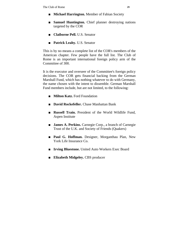- **Michael Harrington.** Member of Fabian Society
- **Samuel Huntington.** Chief planner destroying nations targeted by the COR
- **Claiborne Pell.** U.S. Senator
- **Patrick Leahy.** U.S. Senator

This is by no means a complete list of the COR's members of the American chapter. Few people have the full list. The Club of Rome is an important international foreign policy arm of the Committee of 300.

It is the executor and overseer of the Committee's foreign policy decisions. The COR gets financial backing from the German Marshall Fund, which has nothing whatever to do with Germany, the name chosen with the intent to dissemble. German Marshall Fund members include, but are not limited, to the following:

- **Milton Katz.** Ford Foundation
- **David Rockefeller.** Chase Manhattan Bank
- **Russell Train.** President of the World Wildlife Fund, Aspen Institute
- **James A. Perkins.** Carnegie Corp., a branch of Carnegie Trust of the U.K. and Society of Friends (Quakers)
- **Paul G. Hoffman.** Designer, Morganthau Plan, New York Life Insurance Co.
- **Irving Bluestone.** United Auto Workers Exec Board
- **Elizabeth Midgeley.** CBS producer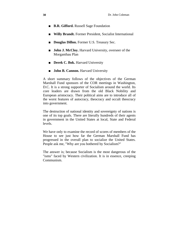- **B.R. Gifford.** Russell Sage Foundation
- **Willy Brandt.** Former President, Socialist International
- **Douglas Dillon.** Former U.S. Treasury Sec.
- **John J. McCloy.** Harvard University, overseer of the Morganthau Plan
- **Derek C. Bok.** Harvard University
- **John B. Cannon.** Harvard University

A short summary follows of the objectives of the German Marshall Fund sponsors of the COR meetings in Washington, D.C. It is a strong supporter of Socialism around the world. Its core leaders are drawn from the old Black Nobility and European aristocracy. Their political aims are to introduce all of the worst features of autocracy, theocracy and occult theocracy into government.

The destruction of national identity and sovereignty of nations is one of its top goals. There are literally hundreds of their agents in government in the United States at local, State and Federal levels.

We have only to examine the record of scores of members of the House to see just how far the German Marshall Fund has progressed in the overall plan to socialize the United States. People ask me, "Why are you bothered by Socialism?"

The answer is; because Socialism is the most dangerous of the "isms" faced by Western civilization. It is in essence, creeping Communism.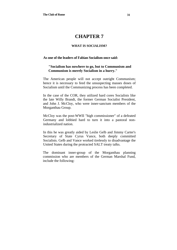#### **WHAT IS SOCIALISM?**

#### **As one of the leaders of Fabian Socialism once said:**

#### **"Socialism has nowhere to go, but to Communism and Communism is merely Socialism in a hurry."**

The American people will not accept outright Communism; hence it is necessary to feed the unsuspecting masses doses of Socialism until the Communizing process has been completed.

In the case of the COR, they utilized hard cores Socialists like the late Willy Brandt, the former German Socialist President, and John J. McCloy, who were inner-sanctum members of the Morganthau Group.

McCloy was the post-WWII "high commissioner" of a defeated Germany and lobbied hard to turn it into a pastoral nonindustrialized nation.

In this he was greatly aided by Leslie Gelb and Jimmy Carter's Secretary of State Cyrus Vance, both deeply committed Socialists. Gelb and Vance worked tirelessly to disadvantage the United States during the protracted SALT treaty talks.

The dominant inner-group of the Morganthau planning commission who are members of the German Marshal Fund, include the following: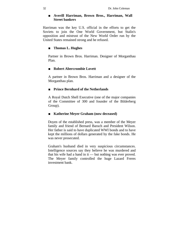#### **■ Averill Harriman, Brown Bros., Harriman, Wall Street bankers**

Harriman was the key U.S. official in the efforts to get the Soviets to join the One World Government, but Stalin's opposition and mistrust of the New World Order run by the United States remained strong and he refused.

#### **■ Thomas L. Hughes**

Partner in Brown Bros. Harriman. Designer of Morganthau Plan.

#### **■ Robert Abercrombie Lovett**

A partner in Brown Bros. Harriman and a designer of the Morganthau plan.

#### **■ Prince Bernhard of the Netherlands**

A Royal Dutch Shell Executive (one of the major companies of the Committee of 300 and founder of the Bilderberg Group).

#### **■ Katherine Meyer Graham (now deceased)**

Doyen of the established press, was a member of the Meyer family and friend of Bernard Baruch and President Wilson. Her father is said to have duplicated WWI bonds and to have kept the millions of dollars generated by the fake bonds. He was never prosecuted.

Graham's husband died in very suspicious circumstances. Intelligence sources say they believe he was murdered and that his wife had a hand in it — but nothing was ever proved. The Meyer family controlled the huge Lazard Freres investment bank.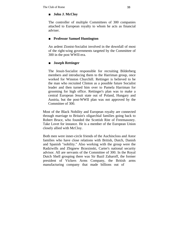### **■ John J. McCloy**

The controller of multiple Committees of 300 companies attached to European royalty to whom he acts as financial adviser.

### **■ Professor Samuel Huntington**

An ardent Zionist-Socialist involved in the downfall of most of the right-wing governments targeted by the Committee of 300 in the post WWII-era.

### **■ Joseph Rettinger**

The Jesuit-Socialist responsible for recruiting Bilderberg members and introducing them to the Harriman group, once worked for Winston Churchill. Rettinger is believed to be the man who recruited Clinton as a possible future Socialist leader and then turned him over to Pamela Harriman for grooming for high office. Rettinger's plan was to make a central European Jesuit state out of Poland, Hungary and Austria, but the post-WWII plan was not approved by the Committee of 300.

Most of the Black Nobility and European royalty are connected through marriage to Britain's oligarchial families going back to Robert Bruce, who founded the Scottish Rite of Freemasonry. Take Lovet for instance. He is a member of the European Union closely allied with McCloy.

Both men were inner-circle friends of the Auchincloss and Astor families who have close relations with British, Dutch, Danish and Spanish "nobility." Also working with the group were the Radziwills and Zbignew Brzezinski, Carter's national security advisor. All are servants of the Committee of 300. In the Royal Dutch Shell grouping there was Sir Bazil Zaharoff, the former president of Vickers Arms Company, the British arms manufacturing company that made billions out of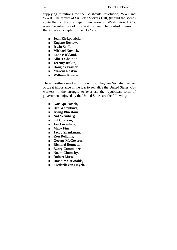supplying munitions for the Bolshevik Revolution, WWI and WWII. The family of Sir Peter Vickers Hall, (behind the scenes controller of the Heritage Foundation in Washington D.C.), were the inheritors of this vast fortune. The control figures of the American chapter of the COR are:

- **Jean Kirkpatrick,**
- **Eugene Rostow**.
- **Irwin** Suall,
- **Michael Novack**,
- Lane Kirkland,
- **Albert Chaitkin.**
- **Jeremy Rifkin,**
- **Douglas Frazier,**
- **Marcus Raskin.**
- **William Kunsler.**

These worthies need no introduction. They are Socialist leaders of great importance in the war to socialize the United States. Coworkers in the struggle to overturn the republican form of government enjoyed by the United States are the following:

- **Gar Apelrovich.**
- **Ben Watenburg,**
- **Irving Bluestone,**
- **Nat Weinberg,**
- **Sol Chaikan,**
- **Jay Lovestone**,
- **Mary Fine**,
- **Jacob Shankman,**
- **Ron Dellums,**
- **George McGovern,**
- **Richard Bonnett.**
- **Barry Commoner,**
- **Noam Chomsky,**
- **Robert Moss.**
- **David McReynolds.**
- **Frederik von Havek.**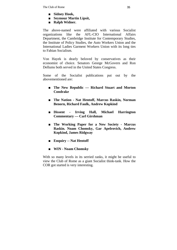- **Sidney Hook,**
- **Seymour Martin Lipsit,**
- **Ralph Widner.**

The above-named were affiliated with various Socialist organizations like the AFL-CIO International Affairs Department, the Cambridge Institute for Contemporary Studies, the Institute of Policy Studies, the Auto Workers Union and the International Ladies Garment Workers Union with its long ties to Fabian Socialism.

Von Hayek is dearly beloved by conservatives as their economist of choice. Senators George McGovern and Ron Dellums both served in the United States Congress.

Some of the Socialist publications put out by the abovementioned are:

- **The New Republic Richard Stuart and Morton Condrake**
- **The Nation Nat Hentoff, Marcus Raskin, Norman Benorn, Richard Faulk, Andrew Kopkind**
- **Dissent Irving Hall, Michael Harrington Commentary — Carl Girshman**
- **The Working Paper for a New Society Marcus Raskin. Noam Chomsky, Gar Apelrovich, Andrew Kopkind, James Ridgway**
- **Enquiry -- Nat Hentoff**
- **WIN Noam Chomsky**

With so many levels in its serried ranks, it might be useful to view the Club of Rome as a giant Socialist think-tank. How the COR got started is very interesting.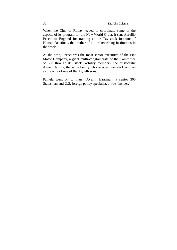When the Club of Rome needed to coordinate some of the aspects of its program for the New World Order, it sent Aurellio Peccei to England for training at the Tavistock Institute of Human Relations, the mother of all brainwashing institutions in the world.

At the time, Peccei was the most senior executive of the Fiat Motor Company, a giant multi-conglomerate of the Committee of 300 through its Black Nobility members, the aristocratic Agnelli family, the same family who rejected Pamela Harriman as the wife of one of the Agnelli sons.

Pamela went on to marry Averill Harriman, a senior 300 Statesman and U.S. foreign policy specialist, a true "insider."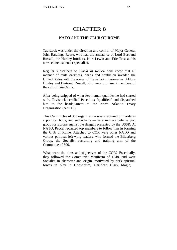### **NATO** AND **THE CLUB OF ROME**

Tavistock was under the direction and control of Major General John Rawlings Reese, who had the assistance of Lord Bertrand Russell, the Huxley brothers, Kurt Lewin and Eric Trist as his new science-scientist specialists.

Regular subscribers to *World In Review* will know that all manner of evils darkness, chaos and confusion invaded the United States with the arrival of Tavistock missionaries. Aldous Huxley and Bertrand Russell, who were prominent members of the cult of Isis-Osiris.

After being stripped of what few human qualities he had started with, Tavistock certified Peccei as "qualified" and dispatched him to the headquarters of the North Atlantic Treaty Organization (NATO.)

This **Committee of 300** organization was structured primarily as a political body, and secondarily — as a military defense pact group for Europe against the dangers presented by the USSR. At NATO, Peccei recruited top members to follow him in forming the Club of Rome. Attached to COR were other NATO and various political left-wing leaders, who formed the Bilderberg Group, the Socialist recruiting and training arm of the Committee of 300.

What were the aims and objectives of the COR? Essentially, they followed the Communist Manifesto of 1848, and were Socialist in character and origin, motivated by dark spiritual forces in play in Gnosticism, Chaldean Black Magic,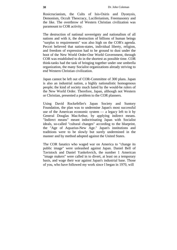Rosicrucianism, the Cults of Isis-Osiris and Dyonysis, Demonism, Occult Theocracy, Luciferianism, Freemasonry and the like. The overthrow of Western Christian civilization was paramount to COR activity.

The destruction of national sovereignty and nationalism of all nations and with it, the destruction of billions of human beings "surplus to requirements" was also high on the COR's agenda. Peccei believed that nation-states, individual liberty, religion, and freedom of expression had to be ground to dust under the boot of the New World Order-One World Government, through COR was established to do in the shortest as possible time. COR think-tanks had the task of bringing together under one umbrella organization, the many Socialist organizations already striving to end Western Christian civilization.

Japan cannot be left out of COR-Committee of 300 plans. Japan is also an industrial nation, a highly nationalistic homogenous people; the kind of society much hated by the would-be rulers of the New World Order. Therefore, Japan, although not Western or Christian, presented a problem to the COR planners.

Using David Rockefeller's Japan Society and Suntory Foundation, the plan was to undermine Japan's most successful use of the American economic system — a legacy left to it by General Douglas MacArthur, by applying indirect means. "Indirect means" meant indoctrinating Japan with Socialist ideals, so-called "cultural changes" according to the blueprint, the "Age of Aquarius-New Age." Japan's institutions and traditions were to be slowly but surely undermined in the manner and by method adopted against the United States.

The COR fanatics who waged war on America to "change its public image" were unleashed against Japan. Daniel Bell of Tavistock and Daniel Yankelovich, the number 1 American "image makers" were called in to divert, at least on a temporary basis, and wage their war against Japan's industrial base. Those of you, who have followed my work since I began in 1970, will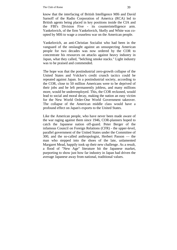know that the interfacing of British Intelligence MI6 and David Sarnoff of the Radio Corporation of America (RCA) led to British agents being placed in key positions inside the CIA and the FBI's Division Five - its counterintelligence arm. Yankelovich, of the firm Yankelovich, Skelly and White was coopted by MI6 to wage a ceaseless war on the American people.

Yankelovich, an anti-Christian Socialist who had been in the vanguard of the onslaught against an unsuspecting American people for two decades was now ordered by the COR to concentrate his resources on attacks against heavy industry in Japan, what they called, "belching smoke stacks." Light industry was to be praised and commended.

The hope was that the postindustrial zero-growth collapse of the United States and Volcker's credit crunch tactics could be repeated against Japan. In a postindustrial society, according to the COR, close to 50 million Americans were to be deprived of their jobs and be left permanently jobless, and many millions more, would be underemployed. This, the COR reckoned, would lead to social and moral decay, making the nation an easy victim for the New World Order-One World Government takeover. The collapse of the American middle class would have a profound effect on Japan's exports to the United States.

Like the American people, who have never been made aware of the war raging against them since 1946, COR-planners hoped to catch the Japanese nation off-guard. Peter Berger of the infamous Council on Foreign Relations (CFR) - the upper-level, parallel government of the United States under the Committee of 300, and the so-called anthropologist, Herbert Passon — the man who stepped into the shoes of the late, unlamented Margaret Mead, happily took up their new challenge. As a result, a flood of "New Age" literature hit the Japanese market, purporting to show just how far industry in Japan had driven the average Japanese away from national, traditional values.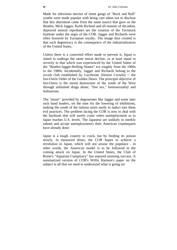Made for television movies of street gangs of "Rock and Roll" youths were made popular with being care taken not to disclose that this aberration came from the same source that gave us the Beatles, Mick Jagger, Keith Richard and all manner of decadent, depraved amoral reprobates are the creation of the Tavistock Institute under the aegis of the COR. Jagger and Richards were often honored by European royalty. The image thus created is that such degeneracy is the consequence of the industrialization of the United States.

Unless there is a concerted effort made to prevent it, Japan is slated to undergo the same moral decline, or at least equal in severity to that which was experienced by the United States of the "Beatles-Jagger-Rolling Stones" era roughly from the 1960s to the 1980s. Incidentally, Jagger and Richards belong to the occult club established by Luciferian Alestair Crowley ~ the Isis-Osiris Order of the Golden Dawn. The principal objective of Isis-Osiris is the moral destruction of the youth of the West through unlimited drugs abuse, "free sex," homosexuality and lesbianism.

The "music" provided by degenerates like Jagger and some later rock band leaders, set the tone for the lowering of inhibitions, making the youth of the nations more easily to induct into these evil practices. The problem facing the COR is now to deal with the backlash that will surely come when unemployment as in Japan reaches U.S. levels. The Japanese are unlikely to meekly submit and accept unemployment's their American counterparts have already done.

Japan is a tough country to crack, but by feeding its poison slowly, in measured doses, the COR hopes to achieve a revolution in Japan, which will not arouse the populace - in other words, the American model is to be followed in the coming attack on Japan. In the United States, the Club of Rome's "Aquarian Conspiracy" has enjoyed stunning success. A summarized version of COR's Willis Harmon's paper on the subject is all that we need to understand what is going on: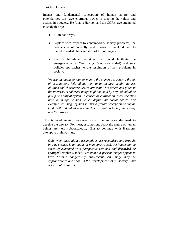Images and fundamental conception of human nature and potentialities can have enormous power in shaping the values and actions in a society. He (that is Harmon and the COR) have attempted to study this by:

- Illuminati ways.
- Explore with respect to contemporary society problems, the deficiencies of currently held images of mankind, and to identify needed characteristics of future images.
- Identify high-level activities that could facilitate the emergence of a *New Image* (emphasis added) and new policies approaches to the resolution of key problems in society.

*We use the image of man or man in the universe to refer to the set of assumptions held about the human being's origin, nature, abilities and characteristics, relationship with others and place in the universe. A coherent image might be held by any individual or group or political system, a church or civilization. Most societies have an image of man, which defines his social nature. For example, an image of man is thus a gestalt perception of human kind, both individual and collective in relation to self the society and the cosmos.*

This is unadulterated nonsense, occult hocus-pocus designed to deceive the unwary. For most, assumptions about the nature of human beings are held subconsciously. But to continue with Harmon's attempt to brainwash us:

*Only when these hidden assumptions are recognized and brought into awareness is an image of man constructed, the image can be carefully examined with perspective retained and discarded or changed* (emphasis added.) *Many of our present images appear to have become dangerously obsolescent. An image may be appropriate to one phase in the development of a society, but once that stage is*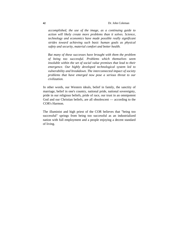*accomplished, the use of the image, as a continuing guide to action will likely create more problems than it solves. Science, technology and economics have made possible really significant strides toward achieving such basic human goals as physical safety and security, material comfort and better health.*

*But many of these successes have brought with them the problem of being too successful. Problems which themselves seem insoluble within the set of social value premises that lead to their emergence. Our highly developed technological system led to vulnerability and breakdown. The interconnected impact of society problems that have emerged now pose a serious threat to our civilization.*

In other words, our Western ideals, belief in family, the sanctity of marriage, belief in one's country, national pride, national sovereignty, pride in our religious beliefs, pride of race, our trust in an omnipotent God and our Christian beliefs, are all obsolescent — according to the COR's Harmon.

The illuminist and high priest of the COR believes that "being too successful" springs from being too successful as an industrialized nation with full employment and a people enjoying a decent standard of living.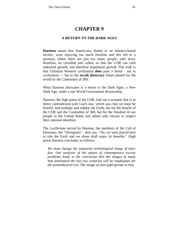# **CHAPTER 9**

### **A RETURN TO THE DARK AGES**

**Harmon** meant that Americans, thanks to an industry-based society, were enjoying too much freedom and this led to a position, where there are just too many people, who must, therefore, be corralled and culled, so that the COR can curb industrial growth, and therefore population growth. The truth is that Christian Western civilization **does** pose a threat - not to civilization — but to the **occult theocracy** future planed for the world by the Committee of 300.

What Harmon advocates is a return to the Dark Ages, a New Dark Age, under a one World Government dictatorship.

Harmon, the high priest of the COR, laid out a scenario that is in direct contradiction with God's law, which says that we must be fruitful, and multiply and subdue the Earth, not for the benefit of the COR and the Committee of 300, but for the freedom of our people in the United States and others who choose to respect their national identities.

The Luciferians served by Harmon, the members of the Cult of Dyonisus, the "Olympians" - they say, "No, we were placed here to rule the Earth and we alone shall enjoy its benefits." High priest Harmon concludes as follows:

*We must change the industrial technological image of manfast. Our analyses of the nature of contemporary society problems leads to the conclusion that the images of many that dominated the last two centuries will he inadequate for the postindustrial era. The image of man appropriate to that*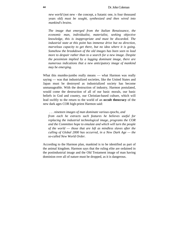*new world* (not new - the concept, a Satanic one, is four thousand years old) *must be sought, synthesized and then wired into mankind's brains.*

*The image that emerged from the Italian Renaissance, the economic man, individualist, materialist, seeking objective knowledge, this is inappropriate and must be discarded. The industrial state at this point has immense drive but no direction, marvelous capacity to get there, but no idea where it is going. Somehow the breakdown of the old images has been seen to lead more to despair rather than to a search for a new image. Despite the pessimism implied by a lagging dominant image, there are numerous indications that a new anticipatory image of mankind may be emerging.*

What this mumbo-jumbo really means — what Harmon was really saying — was that industrialized societies, like the United States and Japan must be destroyed as industrialized society has become unmanageable. With the destruction of industry, Harmon postulated, would come the destruction of all of our basic morals, our basic beliefs in God and country, our Christian-based culture, which will lead swiftly to the return to the world of an **occult theocracy** of the new dark ages COR high-priest Harmon said:

. . . *nineteen images of man dominate various epochs, and from each he extracts such features he believes useful for replacing the industrial technological image, programs the COR and the Committee hope to emulate and which will turn the people of the world* — *those that are left as mindless slaves after the culling of Global 2000 has occurred, in a New Dark Age — the so-called New World Order.*

According to the Harmon plan, mankind is to be identified as part of the animal kingdom. Harmon says that the ruling elite are ordained in the postindustrial image and the Old Testament image of man having dominion over all of nature must be dropped, as it is dangerous.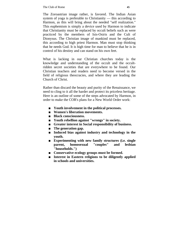The Zoroastrian image rather, is favored. The Indian Asian system of yoga is preferable to Christianity — this according to Harmon, as this will bring about the needed "self realization." This euphemism is simply a device used by Harmon to indicate that Christianity must be replaced by occult beliefs such as were practiced by the members of Isis-Osiris and the Cult of Dionysus. The Christian image of mankind must be replaced, this according to high priest Harmon. Man must stop thinking that he needs God. It is high time for man to believe that he is in control of his destiny and can stand on his own feet.

What is lacking in our Christian churches today is the knowledge and understanding of the occult and the occultridden secret societies that are everywhere to be found. Our Christian teachers and readers need to become versed in the field of religious theocracies, and where they are leading the Church of Christ.

Rather than discard the beauty and purity of the Renaissance, we need to cling to it all the harder and protect its priceless heritage. Here is an outline of some of the steps advocated by Harmon, in order to make the COR's plans for a New World Order work:

- Youth involvement in the political processes.
- **Women's liberation movements.**
- **Black consciousness.**
- Youth rebellion against "wrongs" in society.
- **Greater interest in Social responsibility of business.**
- The generation gap.
- **Induced bias against industry and technology in the youth.**
- **Experimenting with new family structures (i.e. single parent, homosexual "couples" and lesbian "households.")**
- **Conservative ecology groups must be formed.**
- **Interest in Eastern religions to be diligently applied in schools and universities.**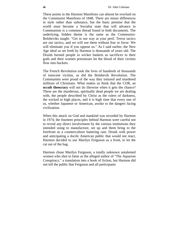These points in the Harmon Manifesto can almost be overlaid on the Communist Manifesto of 1848. There are minor differences in style rather than substance, but the basic premise that the world must become a Socialist state that will advance to Communism is a common thread found in both documents. The underlying, hidden theme is the same as the Communist-Bolsheviks taught: "Get in our way at your peril. Terror tactics are our tactics, and we will use them without fear or favor. We will eliminate you if you oppose us." As I said earlier, the New Age ideal as set forth by Harmon is thousands of years old. The Druids burned people in wicker baskets as sacrifices to their gods and their women priestesses let the blood of their victims flow into buckets.

The French Revolution took the lives of hundreds of thousands of innocent victims, as did the Bolshevik Revolution. The Communists were proud of the way they tortured and murdered millions of Christians. What makes us think that the COR, an **occult theocracy** will not do likewise when it gets the chance? These are the murderous, spiritually dead people we are dealing with, the people described by Christ as the rulers of darkness, the wicked in high places, and it is high time that every one of us, whether Japanese or American, awoke to the dangers facing civilization.

When this attack on God and mankind was recorded by Harmon in 1974, the fourteen principles behind Harmon were careful not to reveal any direct involvement by the various institutions they intended using to manufacture, set up and them bring to the forefront as a counterculture battering ram. Drunk with power and anticipating a docile American public that would not react, Harmon decided to use Marilyn Ferguson as a front, to let the cat out of the bag.

Harmon chose Marilyn Ferguson, a totally unknown untalented women who shot to fame as the alleged author of "The Aquarian Conspiracy," a translation into a book of fiction, but Harmon did not tell the public that Ferguson and all participants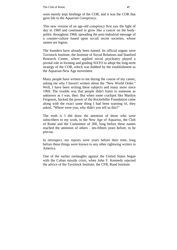were merely kept hirelings of the COR, and it was the COR that gave life to the *Aquarian Conspiracy.*

This new version of an age-old conspiracy first saw the light of day in 1960 and continued to grow like a cancer on the bodypolitic throughout 1968, spreading the post-industrial message of a counter-culture based upon occult secret societies, whose names are legion.

The founders have already been named. Its official organs were Tavistock Institute, the Institute of Social Relations and Stanford Research Center, where applied social psychiatry played a pivotal role in forming and guiding NATO to adopt the long-term strategy of the COR, which was dubbed by the establishment as the Aquarian-New Age movement.

Many people have written to me during the course of my career, asking me why I haven't written about the "New World Order." Well, I have been writing these subjects and many more since 1969. The trouble was that people didn't listen to someone as unknown as I was, then. But when some crackpot like Marilyn Ferguson, backed the power of the Rockefeller Foundation came along with the exact same thing I had been warning of, they asked, "Where were you; why didn't you tell us this?"

The truth is I did draw the attention of those who were subscribers to my work, to the New Age of Aquarius, the Club of Rome and the Committee of 300, long before these names reached the attention of others - ten-fifteen years before, to be precise.

In retrospect, my reports were years before their time, long before these things were known to any other rightwing writers in America.

One of the earlier onslaughts against the United States began with the Cuban missile crisis, when John F. Kennedy rejected the advice of the Tavistock Institute, the CFR, Rand Institute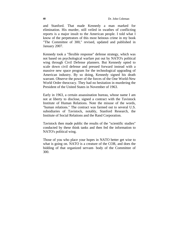and Stanford. That made Kennedy a man marked for elimination. His murder, still veiled in swathes of conflicting reports is a major insult to the American people. I told what I know of the perpetrators of this most heinous crime in my book "The Committee of 300," revised, updated and published in January 2007.

Kennedy took a "flexible response" defense strategy, which was not based on psychological warfare put out by NATO's political wing through Civil Defense planners. But Kennedy opted to scale down civil defense and pressed forward instead with a massive new space program for the technological upgrading of American industry. By so doing, Kennedy signed his death warrant. Observe the power of the forces of the One World-New World Order theocracy. They had no hesitation in murdering the President of the United States in November of 1963.

Early in 1963, a certain assassination bureau, whose name I am not at liberty to disclose, signed a contract with the Tavistock Institute of Human Relations. Note the misuse of the words, "human relations." The contract was farmed out to several U.S. subsidiaries of Tavistock, notably, Stanford Research, the Institute of Social Relations and the Rand Corporation.

Tavistock then made public the results of the "scientific studies" conducted by these think tanks and then fed the information to NATO's political wing.

Those of you who place your hopes in NATO better get wise to what is going on. NATO is a creature of the COR, and does the bidding of that organized servant- body of the Committee of 300.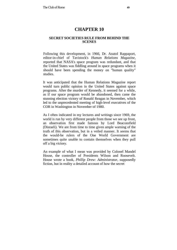## **CHAPTER 10**

### **SECRET SOCIETIES RULE FROM BEHIND THE SCENES**

Following this development, in 1966, Dr. Anatol Rappaport, editor-in-chief of Tavistock's *Human Relations Magazine,*  reported that NASA's space program was redundant, and that the United States was fiddling around in space programs when it should have been spending the money on "human quality" studies.

It was anticipated that the Human Relations Magazine report would turn public opinion in the United States against space programs. After the murder of Kennedy, it seemed for a while, as if our space program would be abandoned, then came the stunning election victory of Ronald Reagan in November, which led to the unprecedented meeting of high-level executives of the COR in Washington in November of 1980.

As I often indicated in my lectures and writings since 1969, the world is run by very different people from those we see up front, an observation first made famous by Lord Beaconsfield (Disraeli). We are from time to time given ample warning of the truth of this observation, but in a veiled manner. It seems that the would-be rulers of the One World Government are sometimes quite unable to contain themselves when they pull off a big victory.

An example of what I mean was provided by Colonel Mandel House, the controller of Presidents Wilson and Roosevelt. House wrote a book, *Phillip Drew: Administrator,* supposedly fiction, but in reality a detailed account of how the secret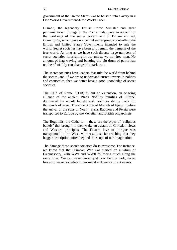government of the United States was to be sold into slavery in a One World Government-New World Order.

Disraeli, the legendary British Prime Minister and great parliamentarian protege of the Rothschilds, gave an account of the workings of the secret government of Britain entitled, *Conningsby,* which gave notice that secret groups controlling the British and United States Governments intended to rule the world. Secret societies have been and remain the nemesis of the free world. As long as we have such diverse large numbers of secret societies flourishing in our midst, we not free men. No amount of flag-waving and banging the big drum of patriotism on the  $4<sup>th</sup>$  of July can change this stark truth.

The secret societies have leaders that rule the world from behind the scenes, and, if we are to understand current events in politics and economics, then we better have a good knowledge of secret societies.

The Club of Rome (COR) is but an extension, an ongoing alliance of the ancient Black Nobility families of Europe, dominated by occult beliefs and practices dating back for thousands of years. The ancient rite of Misraih of Egypt, (before the arrival of the sons of Noah), Syria, Babylon and Persia were transported to Europe by the Venetian and British oligarchists.

The Bogomils, the Catharis — these are the types of "religious beliefs" that brought in their wake an assault on Christian views and Western principles. The Eastern love of intrigue was transplanted in the West, with results so far reaching that they beggar description, often beyond the scope of our imagination.

The damage these secret societies do is awesome. For instance, we know that the Crimean War was started on a whim of Freemasonry, with WWI and WWII following much along the same lines. We can never know just how far the dark, secret forces of secret societies in our midst influence current events.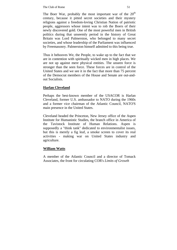The Boer War, probably the most important war of the  $20<sup>th</sup>$ century, because it pitted secret societies and their mystery religions against a freedom-loving Christian Nation of patriotic people, aggressors whose intent was to rob the Boers of their newly discovered gold. One of the most powerful men in British politics during that unseemly period in the history of Great Britain was Lord Palmerston, who belonged to many secret societies, and whose leadership of the Parliament was influenced by Freemasonry. Palmerston himself admitted to this being true.

Thus it behooves We, the People, to wake up to the fact that we are in contention with spiritually wicked men in high places. We are not up against mere physical entities. The unseen force is stronger than the seen force. These forces are in control of the United States and we see it in the fact that more than 75 percent of the Democrat members of the House and Senate are out-andout Socialists.

### **Harlan Cleveland**

Perhaps the best-known member of the USACOR is Harlan Cleveland, former U.S. ambassador to NATO during the 1960s and a former vice chairman of the Atlantic Council, NATO'S main presence in the United States.

Cleveland headed the Princeton, New Jersey office of the Aspen Institute for Humanistic Studies, the branch office in America of the Tavistock Institute of Human Relations. Aspen is supposedly a "think tank" dedicated to environmentalist issues, but this is merely a fig leaf, a smoke screen to cover its real activities - making war on United States industry and agriculture.

## **William Watts**

A member of the Atlantic Council and a director of Tomack Associates, the front for circulating COR's *Limits of Growth*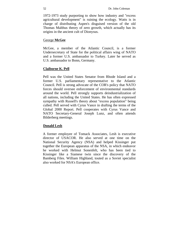1972-1973 study purporting to show how industry and "excess agricultural development" is ruining the ecology. Watts is in charge of distributing Aspen's disguised version of the old Thomas Malthus theory of zero growth, which actually has its origins in the ancient cult of Dionysus.

## George **McGee**

McGee, a member of the Atlantic Council, is a former Undersecretary of State for the political affairs wing of NATO and a former U.S. ambassador to Turkey. Later he served as U.S. ambassador to Bonn, Germany.

## **Claiborne K. Pell**

Pell was the United States Senator from Rhode Island and a former U.S. parliamentary representative to the Atlantic Council. Pell is strong advocate of the COR's policy that NATO forces should oversee enforcement of environmental standards around the world. Pell strongly supports deindustrialization of all nations, including the United States. He has often expressed sympathy with Russell's theory about "excess population" being culled. Pell served with Cyrus Vance in drafting the terms of the Global 2000 Report. Pell cooperates with Cyrus Vance and NATO Secretary-General Joseph Lunz, and often attends Bilderberg meetings.

### **Donald Lesh**

A former employee of Tomack Associates, Lesh is executive director of USACOR. He also served at one time on the National Security Agency (NSA) and helped Kissinger put together the European apparatus of the NSA, in which endeavor he worked with Helmut Sonenfelt, who has been tied to Kissinger like a Siamese twin since the discovery of the Bamberg Files. William Highland, touted as a Soviet specialist also worked for NSA's European office.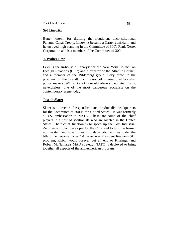The Club of Rome **53** 

### **Sol Linowitz**

Better known for drafting the fraudulent unconstitutional Panama Canal Treaty, Linowitz became a Carter confidant, and he enjoyed high standing in the Committee of 300's Rank Xerox Corporation and is a member of the Committee of 300.

### **J. Walter Lew**

Levy is the in-house oil analyst for the New York Council on Foreign Relations (CFR) and a director of the Atlantic Council and a member of the Bilderberg group. Levy drew up the program for the Brandt Commission of international Socialist policy makers. While Brandt is nearly always inebriated, he is, nevertheless, one of the most dangerous Socialists on the contemporary scene today.

### **Joseph Slater**

Slater is a director of Aspen Institute, the Socialist headquarters for the Committee of 300 in the United States. He was formerly a U.S. ambassador to NATO. These are some of the chief players in a nest of seditionists who are located in the United States. Their chief function is to speed up the Post Industrial Zero Growth plan developed by the COR and to turn the former northeastern industrial cities into slave labor entities under the title of "enterprise zones." A target was President Reagan's SDI program, which would forever put an end to Kissinger and Robert McNamara's MAD strategy. NATO is deployed to bring together all aspects of the anti-American program.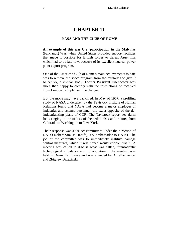# **CHAPTER 11**

### **NASA AND THE CLUB OF ROME**

**An example of this was U.S. participation in the Malvinas**  (Falklands) War, when United States provided support facilities that made it possible for British forces to defeat Argentina, which had to be laid low, because of its excellent nuclear power plant export program.

One of the American Club of Rome's main achievements to date was to remove the space program from the military and give it to NASA, a civilian body. Former President Eisenhower was more than happy to comply with the instructions he received from London to implement the change.

But the move may have backfired. In May of 1967, a profiling study of NASA undertaken by the Tavistock Institute of Human Relations found that NASA had become a major employer of industrial and science personnel, the exact opposite of the deindustrializing plans of COR. The Tavistock report set alarm bells ringing in the offices of the seditionists and traitors, from Colorado to Washington to New York.

Their response was a "select committee" under the direction of NATO Robert Strauss Haptfz, U.S. ambassador to NATO. The job of the committee was to immediately institute damage control measures, which it was hoped would cripple NASA. A meeting was called to discuss what was called, "transatlantic technological imbalance and collaboration." The meeting was held in Deauville, France and was attended by Aurellio Peccei and Zbignew Brzezinski.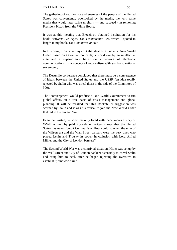The Club of Rome 55

The gathering of seditionists and enemies of the people of the United States was conveniently overlooked by the media, the very same media that would later strive mightily — and succeed - in removing President Nixon from the White House.

It was at this meeting that Brzezinski obtained inspiration for his book, *Between Two Ages: The Technotronic Era,* which I quoted in length in my book, *The Committee of 300.*

In this book, Brzezinski lays out the ideal of a Socialist New World Order, based on Orwellian concepts; a world run by an intellectual elite and a super-culture based on a network of electronic communications, in a concept of regionalism with symbolic national sovereignty.

The Deauville conference concluded that there must be a convergence of ideals between the United States and the USSR (an idea totally rejected by Stalin who was a real thorn in the side of the Committee of 300).

The "convergence" would produce a One World Government to run global affairs on a true basis of crisis management and global planning. It will be recalled that this Rockefeller suggestion was scorned by Stalin and it was his refusal to join the New World Order that led to the Korean War.

Even the twisted, censored, heavily laced with inaccuracies history of WWII written by paid Rockefeller writers shows that the United States has never fought Communism. How could it, when the elite of the Wilson era and the Wall Street bankers were the very ones who placed Lenin and Trotsky in power in collusion with Lord Alfred Milner and the City of London bankers?

The Second World War was a contrived situation. Hitler was set up by the Wall Street and City of London bankers ostensibly to corral Stalin and bring him to heel, after he began rejecting the overtures to establish "joint world rule."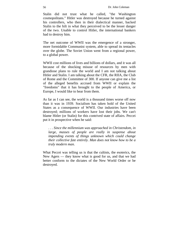Stalin did not trust what he called, "the Washington cosmopolitans." Hitler was destroyed because he turned against his controllers, who then in their dialectical manner, backed Stalin to the hilt in what they perceived to be the lesser danger of the two. Unable to control Hitler, the international bankers had to destroy him.

The net outcome of WWII was the emergence of a stronger, more formidable Communist system, able to spread its tentacles over the globe. The Soviet Union went from a regional power, to a global power.

WWII cost millions of lives and billions of dollars, and it was all because of the shocking misuse of resources by men with grandiose plans to rule the world and I am not talking about Hitler and Stalin. I am talking about the CFR, the RIIA, the Club of Rome and the Committee of 300. If anyone can give me a list of the alleged benefits accrued from WWII or explain the "freedoms" that it has brought to the people of America, or Europe, I would like to hear from them.

As far as I can see, the world is a thousand times worse off now than it was in 1939. Socialism has taken hold of the United States as a consequence of WWII. Our industries have been destroyed; millions of workers have lost their jobs. We can't blame Hitler (or Stalin) for this contrived state of affairs. Peccei put it in prospective when he said:

. . . *Since the millennium was approached in Christendom, in large, masses of people are really in suspense about impending events of things unknown which could change their collective fate entirely. Man does not know how to be a truly modern man.*

What Peccei was telling us is that the cultists, the esoterics, the New Agers — they know what is good for us, and that we had better conform to the dictates of the New World Order or be destroyed.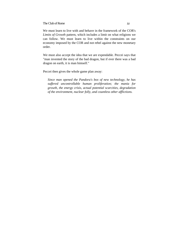We must learn to live with and behave in the framework of the COR's *Limits of Growth* pattern, which includes a limit on what religions we can follow. We must learn to live within the constraints on our economy imposed by the COR and not rebel against the new monetary order.

We must also accept the idea that we are expendable. Peccei says that "man invented the story of the bad dragon, but if ever there was a bad dragon on earth, it is man himself."

Peccei then gives the whole game plan away:

*Since man opened the Pandora's box of new technology, he has suffered uncontrollable human proliferation; the mania for growth, the energy crisis, actual potential scarcities, degradation of the environment, nuclear folly, and countless other afflictions.*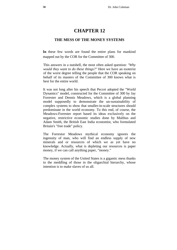# **CHAPTER 12**

## **THE MESS OF THE MONEY SYSTEMS**

**In** these few words are found the entire plans for mankind mapped out by the COR for the Committee of 300.

This answers in a nutshell, the most often asked question: *"Why would they want to do these things?"* Here we have an esoterist of the worst degree telling the people that the COR speaking on behalf of its masters of the Committee of 300 knows what is best for the entire world.

It was not long after his speech that Peccei adopted the "World Dynamics" model, constructed for the Committee of 300 by Jay Forrester and Dennis Meadows, which is a global planning model supposedly to demonstrate the un-sustainability of complex systems to show that smaller-in-scale structures should predominate in the world economy. To this end, of course, the Meadows-Forrester report based its ideas exclusively on the negative, restrictive economic studies done by Malthus and Adam Smith, the British East India economist, who formulated Britain's "free trade" policy.

The Forrestor Meadows mythical economy ignores the ingenuity of man, who will find an endless supply of new minerals and or resources of which we as yet have no knowledge. Actually, what is depleting our resources is paper money, if we can call anything paper, "money."

The money system of the United States is a gigantic mess thanks to the meddling of those in the oligarchial hierarchy, whose intention is to make slaves of us all.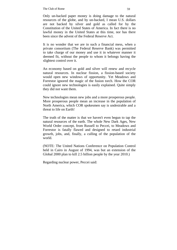#### The Club of Rome 59

Only un-backed paper money is doing damage to the natural resources of the globe, and by un-backed, I mean U.S. dollars are not backed by silver and gold as called for by the Constitution of the United States of America. In fact there is no lawful money in the United States at this time, nor has there been since the advent of the Federal Reserve Act.

It is no wonder that we are in such a financial mess, when a private consortium (The Federal Reserve Bank) was permitted to take charge of our money and use it in whatever manner it deemed fit, without the people to whom it belongs having the slightest control over it.

An economy based on gold and silver will renew and recycle natural resources. In nuclear fission, a fission-based society would open new windows of opportunity. Yet Meadows and Forrestor ignored the magic of the fusion torch. How the COR could ignore new technologies is easily explained. Quite simply they did not want them.

New technologies mean new jobs and a more prosperous people. More prosperous people mean an increase in the population of North America, which COR spokesmen say is undesirable and a threat to life on Earth!

The truth of the matter is that we haven't even begun to tap the natural resources of the earth. The whole New Dark Ages, New World Order concept, from Russell to Peccei, to Meadows and Forrestor is fatally flawed and designed to retard industrial growth, jobs, and, finally, a culling of the population of the world.

(NOTE: The United Nations Conference on Population Control held in Cairo in August of 1994, was but an extension of the Global 2000 plan to kill 2.5 billion people by the year 2010.)

Regarding nuclear power, Peccei said: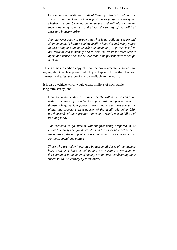I *am more pessimistic and radical than my friends in judging the nuclear solution. I am not in a position to judge or even guess whether this can be made clean, secure and reliable for human society as many scientists and almost the totality of the political class and industry affirm.*

*I am however ready to argue that what is not reliable, secure and clean enough, is human society itself. I have devoted many pages to describing its state of disorder, its incapacity to govern itself, to act rational and humanely and to ease the tensions which tear it apart and hence I cannot believe that in its present state it can go nuclear.*

This is almost a carbon copy of what the environmentalist groups are saying about nuclear power, which just happens to be the cheapest, cleanest and safest source of energy available to the world.

It is also a vehicle which would create millions of new, stable, long term steady jobs.

I *cannot imagine that this same society will be in a condition within a couple of decades to safely host and protect several thousand huge nuclear power stations and to transport across the planet and process even a quarter of the deadly plutonium 239, ten thousands of times greater than what it would take to kill all of us living today.*

*For mankind to go nuclear without first being prepared in its entire human system for its reckless and irresponsible behavior is the question; the real problems are not technical or economic, but political, social and cultural.*

*Those who are today inebriated by just small doses of the nuclear hard drug as I have called it, and are pushing a program to disseminate it in the body of society are in effect condemning their successes to live entirely by it tomorrow.*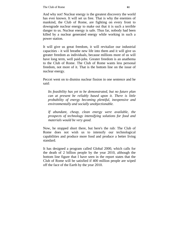And why not! Nuclear energy is the greatest discovery the world has ever known. It will set us free. That is why the enemies of mankind, the Club of Rome, are fighting on every front to downgrade nuclear energy to make out that it is such a terrible danger to us. Nuclear energy is safe. Thus far, nobody had been killed by a nuclear generated energy while working in such a power station.

It will give us great freedom, it will revitalize our industrial capacities - it will breathe new life into them and it will give us greater freedom as individuals, because millions more of us will have long term, well paid-jobs. Greater freedom is an anathema to the Club of Rome. The Club of Rome wants less personal freedom, not more of it. That is the bottom line on the issue of nuclear energy.

Peccei went on to dismiss nuclear fission in one sentence and he said:

*Its feasibility has yet to be demonstrated, but no future plan can at present be reliably based upon it. There is little probability of energy becoming plentiful, inexpensive and environmentally and socially unobjectionable.*

*If abundant, cheap, clean energy were available, the prospects of technology intensifying solutions for food and materials would be very good.*

Now, he stopped short there, but here's the rub: The Club of Rome does not wish us to intensify our technological capabilities and produce more food and produce a better living standard.

It has designed a program called Global 2000, which calls for the death of 2 billion people by the year 2010, although the bottom line figure that I have seen in the report states that the Club of Rome will be satisfied if 400 million people are wiped off the face of the Earth by the year 2010.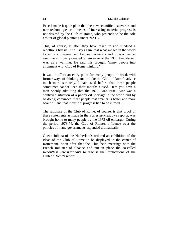Peccei made it quite plain that the new scientific discoveries and new technologies as a means of increasing material progress is not desired by the Club of Rome, who pretends to be the sole arbiter of global planning under NATO.

This, of course, is after they have taken in and subdued a rebellious Russia. And I say again, that what we see in the world today is a disagreement between America and Russia. Peccei used the artificially-created oil embargo of the 1973 Arab-Israeli war, as a warning. He said this brought "many people into alignment with Club of Rome thinking."

It was in effect an entry point for many people to break with former ways of thinking and to take the Club of Rome's advice much more seriously. I have said before that these people sometimes cannot keep their mouths closed. Here you have a man openly admitting that the 1973 Arab-Israeli war was a contrived situation of a phony oil shortage in the world and by so doing, convinced more people that smaller is better and more beautiful and that industrial progress had to be curbed.

The rationale of the Club of Rome, of course, is that proof of these statements as made in the Forrester-Meadows reports, was brought home to many people by the 1973 oil embargo. During the period 1973-74, the Club of Rome's influence over the policies of many governments expanded dramatically.

Queen Juliana of the Netherlands ordered an exhibition of the ideas of the Club of Rome to be displayed in the center of Rotterdam. Soon after that the Club held meetings with the French minister of finance and put in place the so-called *Recontless International's* to discuss the implications of the Club of Rome's report.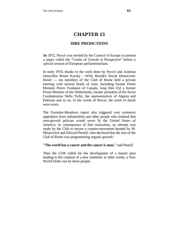# **CHAPTER 13**

### **DIRE PREDICTIONS**

**In** 1972, Peccei was invited by the Council of Europe to present a paper called the "Limits of Growth in Perspective" before a special session of European parliamentarians.

In early 1974, thanks to the work done by Peccei and Austrian chancellor Bruno Krysky - Willy Brandt's Social Democratic friend — ten members of the Club of Rome held a private meeting with several heads of state, including former Prime Minister Pierre Trudeaux of Canada, Joop Den Uyl a former Prime Minister of the Netherlands, former president of the Swiss Confederation Nello Tiello, the representatives of Algeria and Pakistan and so on. In the words of Peccei, the seeds of doubt were sown.

The Forrester-Meadows report also triggered very extensive opposition from industrialists and other people who realized that zero-growth policies would never fit the United States of America. In consequence of that realization, an attempt was made by the Club to secure a counter-movement headed by M. Misarovick and Edward Pestell, who declared that the aim of the Club of Rome was programming organic growth:

### **"The world has a cancer and the cancer is man,"** said Pestell.

Then the COR called for the development of a master plan leading to the creation of a new mankind, in other words, a New World Order run by these people.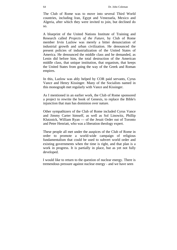The Club of Rome was to move into several Third World countries, including Iran, Egypt and Venezuela, Mexico and Algeria, after which they were invited to join, but declined do so.

A blueprint of the United Nations Institute of Training and Research called *Projects of the Future,* by Club of Rome member Irvin Lazlow was merely a bitter denunciation of industrial growth and urban civilization. He denounced the present policies of industrialization of the United States of America. He denounced the middle class and he demanded, as Lenin did before him, the total destruction of the American middle class, that unique institution, that organism, that keeps the United States from going the way of the Greek and Roman empires.

In this, Lazlow was ably helped by COR paid servants, Cyrus Vance and Henry Kissinger. Many of the Socialists named in this monograph met regularly with Vance and Kissinger.

As I mentioned in an earlier work, the Club of Rome sponsored a project to rewrite the book of Genesis, to replace the Bible's injunction that man has dominion over nature.

Other sympathizers of the Club of Rome included Cyrus Vance and Jimmy Carter himself, as well as Sol Linowitz, Phillip Klutznick, William Ryan — of the Jesuit Order out of Toronto and Peter Henriatt, who was a liberation theology expert.

These people all met under the auspices of the Club of Rome in order to promote a world-wide campaign of religious fundamentalism that could be used to subvert world order and existing governments when the time is right, and that plan is a work in progress. It is partially in place, but as yet not fully developed.

I would like to return to the question of nuclear energy. There is tremendous pressure against nuclear energy - and we have seen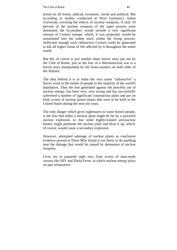action on all fronts; judicial, economic, social and political. But according to studies conducted at West Germany's Arken University covering the effects of nuclear weapons, if only 10 percent of the nuclear weapons of the super powers were detonated, the by-product would include a very significant amount of Cesium isotope, which, it was projected, would be assimilated into the iodine track within the living process. Sufficient enough such radioactive Cesium could be generated to kill all higher forms of life affected by it throughout the entire world.

But this of course is just another sheer horror story put out by the Club of Rome, just as the fear of a thermonuclear war is a horror story manipulated by the brain-washers on both sides of the Atlantic.

The idea behind it is to make the very name "radioactive" a horror word in the minds of people in the majority of the world's population. Thus the fear generated against the peaceful use of nuclear energy, has been very, very strong and has successfully subverted a number of significant construction plans and put on hold, scores of nuclear power plants that were to be built in the United States during the next ten years.

The only danger which gives nightmares to some honest people, is the fear that either a nuclear plant might be hit by a powerful nuclear explosion, or that some highly-trained anti-nuclear fanatic might penetrate the nuclear plant and blow it up, which, of course, would cause a secondary explosion.

However, attempted sabotage of nuclear plants as conclusive evidence proved at Three Mile Island is not likely to do anything near the damage that would be caused by detonation of nuclear weapons.

Lives are in jeopardy right now from scores of man-made viruses like HIV and Ebola Fever, in which nuclear energy plays no part whatsoever.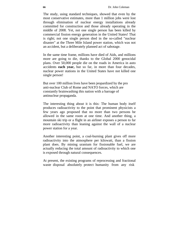The study, using standard techniques, showed that even by the most conservative estimates, more than 1 million jobs were lost through elimination of nuclear energy installations already committed for construction and those already operating in the middle of 2008. Yet, not one single person has been killed by commercial fission energy generation in the United States! That is right; not one single person died in the so-called "nuclear disaster" at the Three Mile Island power station, which was not an accident, but a deliberately planned act of sabotage.

In the same time frame, millions have died of Aids, and millions more are going to die, thanks to the Global 2000 genocidal plans. Over 50,000 people die on the roads in America in auto accidents **each year,** but so far, in more than four decades, nuclear power stations in the United States have not killed one single person!

But over 100 million lives have been jeopardized by the pro anti-nuclear Club of Rome and NATO forces, which are constantly brainwashing this nation with a barrage of antinuclear propaganda.

The interesting thing about it is this: The human body itself produces radioactivity to the point that prominent physicists a few years ago proposed that no more than two persons be allowed in the same room at one time. And another thing, a mountain ski trip or a flight in an airliner exposes a person to far more radioactivity than leaning against the wall of a nuclear power station for a year.

Another interesting point, a coal-burning plant gives off more radioactivity into the atmosphere per kilowatt, than a fission plant does. By mining uranium for fissionable fuel, we are actually reducing the total amount of radioactivity to which one is exposed through natural consequences.

At present, the existing programs of reprocessing and fractional waste disposal absolutely protect humanity from any risk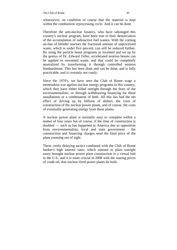whatsoever, on condition of course that the material is kept within the combustion reprocessing cycle. And it can be done.

Therefore the anti-nuclear fanatics, who have sabotaged this country's nuclear program, have been true to their denunciation of the accumulation of radioactive fuel wastes. With the coming on-line of breeder reactors the fractional amount of unprocessed waste, which is under five percent, can still be reduced further. By using the particle beam programs as invented and set up by the genius of Dr. Edward Teller, accelerated neutron beams can be applied to unwanted waste, and that could be completely neutralized by transforming it through controlled neutron bombardment. This has been done and can be done, and is fully practicable, and is certainly not costly.

Since the 1970's, we have seen the Club of Rome wage a tremendous war against nuclear energy programs in this country, which they have either killed outright through the fears of the environmentalists, or through withdrawing financing for these installations or a combination of both. All this has had the net effect of driving up by billions of dollars, the costs of construction of the nuclear power plants, and of course, the costs of eventually generating energy from these plants.

A nuclear power plant is normally easy to complete within a matter of four years but of course, if the time of construction is doubled — such as has happened in America due to opposition from environmentalists, local and state government - the construction and financing charges send the final price of the plant zooming out of sight.

These costly delaying tactics combined with the Club of Rome banker's high interest rates, which amount to plain outright usury brought nuclear power plant construction to a virtual halt in the U.S., and it is more crucial in 2008 with the soaring prices of crude oil, that nuclear-fired power plants be built.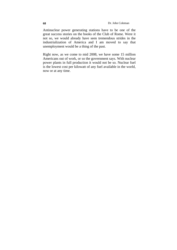Antinuclear power generating stations have to be one of the great success stories on the books of the Club of Rome. Were it not so, we would already have seen tremendous strides in the industrialization of America and I am moved to say that unemployment would be a thing of the past.

Right now, as we come to mid 2008, we have some 15 million Americans out of work, or so the government says. With nuclear power plants in full production it would not be so. Nuclear fuel is the lowest cost per kilowatt of any fuel available in the world, now or at any time.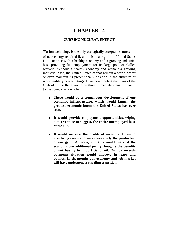# **CHAPTER 14**

### **CURBING NUCLEAR ENERGY**

### **Fusion technology is the only ecologically acceptable source**

of new energy required if, and this is a big if, the United States is to continue with a healthy economy and a growing industrial base providing full employment for its large pool of skilled workers. Without a healthy economy and without a growing industrial base, the United States cannot remain a world power or even maintain its present shaky position in the structure of world military power ratings. If we could defeat the plans of the Club of Rome there would be three immediate areas of benefit to the country as a whole:

- **There would be a tremendous development of our economic infrastructure, which would launch the greatest economic boom the United States has ever seen.**
- **It would provide employment opportunities, wiping out, I venture to suggest, the entire unemployed base of the U.S.**
- **It would increase the profits of investors. It would also bring down and make less costly the production of energy in America, and this would not cost the economy one additional penny. Imagine the benefits of not having to import Saudi oil. Our balance-ofpayments situation would improve in leaps and bounds. In six months our economy and job market will have undergone a startling transition.**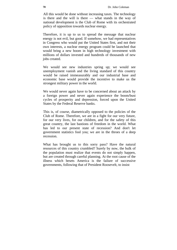All this would be done without increasing taxes. The technology is there and the will is there — what stands in the way of national development is the Club of Rome with its orchestrated policy of opposition towards nuclear energy.

Therefore, it is up to us to spread the message that nuclear energy is not evil, but good. If somehow, we had representatives in Congress who would put the United States first, and not their own interests, a nuclear energy program could be launched that would bring a new boom in high technology investment with millions of dollars invested and hundreds of thousands of new jobs created.

We would see new industries spring up; we would see unemployment vanish and the living standard of this country would be raised immeasurably and our industrial base and economic base would provide the incentive to make us the strongest military power in the world.

We would never again have to be concerned about an attack by a foreign power and never again experience the boom/bust cycles of prosperity and depression, forced upon the United States by the Federal Reserve banks.

This is, of course, diametrically opposed to the policies of the Club of Rome. Therefore, we are in a fight for our very future, for our very lives, for our children, and for the safety of this great country, the last bastions of freedom in the world. What has led to our present state of recession? And don't let government statistics fool you; we are in the throes of a deep recession.

What has brought us to this sorry pass? Have the natural resources of this country crumbled? Surely by now, the bulk of the population must realize that events do not simply happen, but are created through careful planning. At the root cause of the illness which besets America is the failure of successive governments, following that of President Roosevelt, to insist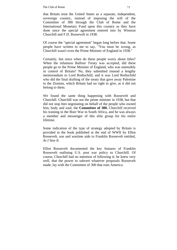that Britain treat the United States as a separate, independent, sovereign country, instead of imposing the will of the Committee of 300 through the Club of Rome and the International Monetary Fund upon this country as they have done since the special agreement entered into by Winston Churchill and F.D. Roosevelt in 1938.

Of course the "special agreement" began long before that. Some people have written to me to say, "You must be wrong, as Churchill wasn't even the Prime Minister of England in 1938."

Certainly, but since when do these people worry about titles? When the infamous Balfour Treaty was accepted, did these people go to the Prime Minister of England, who was ostensibly in control of Britain? No, they submitted instead a lengthy memorandum to Lord Rothschild, and it was Lord Rothschild who did the final drafting of the treaty that gave away Palestine to the Zionists, which Britain had no right to give, as it did not belong to them.

We found the same thing happening with Roosevelt and Churchill. Churchill was not the prime minister in 1938, but that did not stop him negotiating on behalf of the people who owned him, body and soul; the **Committee of 300.** Churchill received his training in the Boer War in South Africa, and he was always a member and messenger of this elite group for his entire lifetime.

Some indication of the type of strategy adopted by Britain is provided in the book published at the end of WWII by Elliot Roosevelt, son and wartime aide to Franklin Roosevelt entitled, *As I Saw It.*

Elliot Roosevelt documented the key features of Franklin Roosevelt outlining U.S. post war policy to Churchill. Of course, Churchill had no intention of following it; he knew very well, that the power to subvert whatever proposals Roosevelt made, lay with the Committee of 300 that runs America.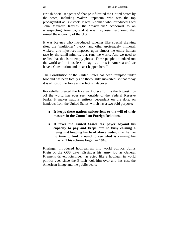British Socialist agents of change infiltrated the United States by the score, including Walter Lippmann, who was the top propagandist at Tavistock. It was Lippman who introduced Lord John Maynard Keynes, the "marvelous" economist to an unsuspecting America, and it was Keynesian economic that ruined the economy of the U.S.

It was Keynes who introduced schemes like special drawing rites, the "multiplier" theory, and other grotesquely immoral, wicked, vile injustices imposed upon almost the entire human race by the small minority that runs the world. And we need to realize that this is no empty phrase. These people do indeed run the world and it is useless to say, ". . . this is America and we have a Constitution and it can't happen here."

The Constitution of the United States has been trampled under foot and has been totally and thoroughly subverted, so that today it is almost of no force and effect whatsoever.

Rockefeller created the Foreign Aid scam. It is the biggest ripoff the world has ever seen outside of the Federal Reserve banks. It makes nations entirely dependent on the dole, on handouts from the United States, which has a two-fold purpose:

- **It keeps these nations subservient to the will of their masters in the Council on Foreign Relations.**
- **It taxes the United States tax payer beyond his capacity to pay and keeps him so busy earning a living just keeping his head above water, that he has no time to look around to see what is causing his misery. This scheme began in 1946.**

Kissinger introduced hooliganism into world politics. Julius Klein of the OSS gave Kissinger his army job as General Kramer's driver. Kissinger has acted like a hooligan in world politics ever since the British took him over and has cost the American image and the public dearly.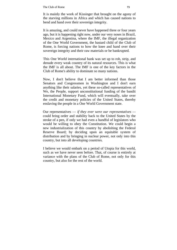It is mainly the work of Kissinger that brought on the agony of the starving millions in Africa and which has caused nations to bend and hand over their sovereign integrity.

It is amazing, and could never have happened three or four years ago, but it is happening right now, under our very noses in Brazil, Mexico and Argentina, where the IMF, the illegal organization of the One World Government, the bastard child of the Club of Rome, is forcing nations to bow the knee and hand over their sovereign integrity and their raw materials or be bankrupted.

This One World international bank was set up to rob, strip, and denude every weak country of its natural resources. This is what the IMF is all about. The IMF is one of the key factors in the Club of Rome's ability to dominate so many nations.

Now, I don't believe that I am better informed than those Senators and Congressmen in Washington and I don't earn anything like their salaries, yet these so-called representatives of We, the People, support unconstitutional funding of the bandit International Monetary Fund, which will eventually, take over the credit and monetary policies of the United States, thereby enslaving the people in a One World Government state.

Our representatives — *if they ever were our representatives*  could bring order and stability back to the United States by the stroke of a pen, if only we had even a handful of legislators who would be willing to obey the Constitution. We could begin a new industrialization of this country by abolishing the Federal Reserve Board; by deciding upon an equitable system of distribution and by bringing in nuclear power, not only into this country, but into all developing countries.

I believe we would embark on a period of Utopia for this world, such as we have never seen before. That, of course is entirely at variance with the plans of the Club of Rome, not only for this country, but also for the rest of the world.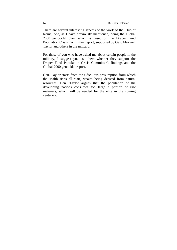There are several interesting aspects of the work of the Club of Rome, one, as I have previously mentioned, being the Global 2000 genocidal plan, which is based on the Draper Fund Population Crisis Committee report, supported by Gen. Maxwell Taylor and others in the military.

For those of you who have asked me about certain people in the military, I suggest you ask them whether they support the Draper Fund Population Crisis Committee's findings and the Global 2000 genocidal report.

Gen. Taylor starts from the ridiculous presumption from which the Malthusians all start, wealth being derived from natural resources. Gen. Taylor argues that the population of the developing nations consumes too large a portion of raw materials, which will be needed for the elite in the coming centuries.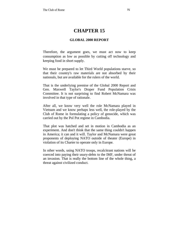## **CHAPTER 15**

## **GLOBAL 2000 REPORT**

Therefore, the argument goes, we must act now to keep consumption as low as possible by cutting off technology and keeping food in short supply.

We must be prepared to let Third World populations starve, so that their country's raw materials are not absorbed by their nationals, but are available for the rulers of the world.

That is the underlying premise of the Global 2000 Report and Gen. Maxwell Taylor's Draper Fund Population Crisis Committee. It is not surprising to find Robert McNamara was involved in that type of rationale.

After all, we know very well the role McNamara played in Vietnam and we know perhaps less well, the role-played by the Club of Rome in formulating a policy of genocide, which was carried out by the Pol Pot regime in Cambodia.

That plot was hatched and set in motion in Cambodia as an experiment. And don't think that the same thing couldn't happen in America; it can and it will. Taylor and McNamara were great proponents of deploying NATO outside of theater (Europe) in violation of its Charter to operate only in Europe.

In other words, using NATO troops, recalcitrant nations will be coerced into paying their usury-debts to the IMF, under threat of an invasion. That is really the bottom line of the whole thing, a threat against civilized conduct.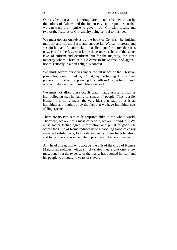Our civilization and our heritage are at stake; handed down by the solons of Athens and the Ionian city-state republics so that we can trace the impulse to govern, our Christian ideals, and two of the features of Christianity being central to this ideal.

We must govern ourselves by the book of Genesis, "be fruitful, multiply and fill the Earth and subdue it." We can increase and sustain human life and make it excellent and far better than it is now. Not for the few, who know the esoteric rules and the secret laws of cultism and occultism, but for the majority, the great majority whom Christ said He came to make free, and again I use this strictly in a non-religious context.

We must govern ourselves under the influence of the Christian principles, exemplified by Christ, by perfecting His rational powers of mind and expressing His faith in God, a living God, who will always treat human life as sacred.

We must not allow these occult black magic artists to trick us into believing that humanity is a mass of people. That is a lie. Humanity is not a mass; the very idea that each of us is an individual is brought out by the fact that we have individual sets of fingerprints.

There are no two sets of fingerprints alike in the whole world. Therefore, we are not a mass of people, we are individuals. We must gather technological information and put it to good use before the Club of Rome reduces us to a babbling troop of easily managed sub-humans, totally dependent on them for a hand-out and for our very existence, which promises to be very meager.

Any head of a nation who accepts the cult of the Club of Rome's Malthusian policies, which simply stated means that only a few must benefit at the expense of the many, has doomed himself and his people to a thousand years of slavery.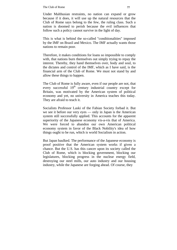Under Malthusian restraints, no nation can expand or grow because if it does, it will use up the natural resources that the Club of Rome says belong to the few, the ruling class. Such a nation is doomed to perish because the evil influences that follow such a policy cannot survive in the light of day.

This is what is behind the so-called "conditionalities" imposed by the IMF on Brazil and Mexico. The IMF actually wants those nations to remain poor.

Therefore, it makes conditions for loans so impossible to comply with, that nations burn themselves out simply trying to repay the interest. Thereby, they hand themselves over, body and soul, to the dictates and control of the IMF, which as I have said, is the financial arm of the Club of Rome. We must not stand by and allow these things to happen.

The Club of Rome is fully aware, even if our people are not, that every successful  $19<sup>th</sup>$  century industrial country except for Britain, was motivated by the American system of political economy and yet, no university in America teaches this today. They are afraid to teach it.

Socialists Professor Laski of the Fabian Society forbad it. But we see it before our very eyes — only in Japan is the American system still successfully applied. This accounts for the apparent superiority of the Japanese economy vis-a-vis that of America. We were forced to abandon our own American political economy system in favor of the Black Nobility's idea of how things ought to be run, which is world Socialism in action.

But Japan baulked. The performance of the Japanese economy is proof positive that the American system works if given a chance. But the U.S. has this cancer upon its society called the Club of Rome, which is blocking government, blocking our legislatures, blocking progress in the nuclear energy field, destroying our steel mills, our auto industry and our housing industry, while the Japanese are forging ahead. Of course, they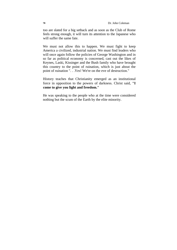too are slated for a big setback and as soon as the Club of Rome feels strong enough, it will turn its attention to the Japanese who will suffer the same fate.

We must not allow this to happen. We must fight to keep America a civilized, industrial nation. We must find leaders who will once again follow the policies of George Washington and in so far as political economy is concerned, cast out the likes of Keynes, Laski, Kissinger and the Bush family who have brought this country to the point of ruination, which is just about the point of ruination ". . .Yes! We're on the eve of destruction."

History teaches that Christianity emerged as an institutional force in opposition to the powers of darkness. Christ said, **"I come to give you light and freedom."**

He was speaking to the people who at the time were considered nothing but the scum of the Earth by the elite minority.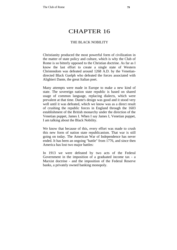## CHAPTER 16

## THE BLACK NOBILITY

Christianity produced the most powerful form of civilization in the matter of state policy and culture, which is why the Club of Rome is so bitterly opposed to the Christian doctrine. As far as I know the last effort to create a single state of Western Christendom was defeated around 1268 A.D. by the Venetiandirected Black Guelph who defeated the forces associated with Alighieri Dante, the great Italian poet.

Many attempts were made in Europe to make a new kind of state. The sovereign nation state republic is based on shared usage of common language, replacing dialects, which were prevalent at that time. Dante's design was good and it stood very well until it was defeated, which we know was as a direct result of crushing the republic forces in England through the 1603 establishment of the British monarchy under the direction of the Venetian puppet, James I. When I say James I, Venetian puppet, I am talking about the Black Nobility.

We know that because of this, every effort was made to crush this new form of nation state republicanism. That war is still going on today. The American War of Independence has never ended. It has been an ongoing "battle" from 1776, and since then America has lost two major battles:

In 1913 we were defeated by two acts of the Federal Government in the imposition of a graduated income tax - a Marxist doctrine - and the imposition of the Federal Reserve banks, a privately owned banking monopoly.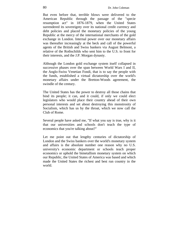But even before that, terrible blows were delivered to the American Republic through the passage of the "specie resumption act" in 1876-1879, when the United States surrendered its sovereignty over its national credit currency and debt policies and placed the monetary policies of the young Republic at the mercy of the international merchants of the gold exchange in London. Internal power over our monetary affairs was thereafter increasingly at the beck and call of the powerful agents of the British and Swiss bankers via August Belmont, a relative of the Rothschilds who sent him to the U.S. to front for their interests, and the J.P. Morgan dynasty.

Although the London gold exchange system itself collapsed in successive phases over the span between World Wars I and II, the Anglo-Swiss Venetian Fondi, that is to say the people with the funds, established a virtual dictatorship over the world's monetary affairs under the Bretton-Woods agreement, the swindle of the century.

The United States has the power to destroy all those chains that bind its people; it can, and it could, if only we could elect legislators who would place their country ahead of their own personal interests and set about destroying this monstrosity of Socialism, which has us by the throat, which we now call the Club of Rome.

Several people have asked me, "If what you say is true, why is it that our universities and schools don't teach the type of economics that you're talking about?"

Let me point out that lengthy centuries of dictatorship of London and the Swiss bankers over the world's monetary system and affairs is the absolute number one reason why no U.S. university's economic department or schools teach proper economics or uphold the bimetallism monetary system on which our Republic, the United States of America was based and which made the United States the richest and best run country in the world.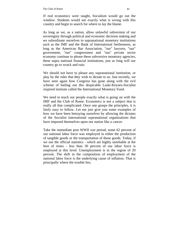If real economics were taught, Socialism would go out the window. Students would see exactly what is wrong with this country and begin to search for where to lay the blame.

As long as we, as a nation, allow unlawful subversion of our sovereignty through political and economic decision making and we subordinate ourselves to supranational monetary institutions such as the IMF and the Bank of International Settlements, as long as the American Bar Association, "our" lawyers, "our" government, "our" congressmen and "our" private sector economy continue to please these subversive monetary agencies, these supra national financial institutions, just as long will our country go to wrack and ruin.

We should not have to please any supranational institution, or play by the rules that they wish to dictate to us. Just recently, we have seen again how Congress has gone along with the evil scheme of bailing out this despicable Laski-Keynes-Socialist inspired institute called the International Monetary Fund.

We need to teach our people exactly what is going on with the IMF and the Club of Rome. Economics is not a subject that is really all that complicated. Once one grasps the principles, it is fairly easy to follow. Let me just give you some examples of how we have been betraying ourselves by allowing the dictates of the Socialist international supranational organizations that have imposed themselves upon our nation like a cancer.

Take the immediate post WWII war period; some 62 percent of our national labor force was employed in either the production of tangible goods or the transportation of those goods. Today, if we use the official statistics - which are highly unreliable at the best of times - less than 30 percent of our labor force is employed at this level. Unemployment is in the region of 20 percent. The shift in the composition of employment of the national labor force is the underlying cause of inflation. That is principally where the trouble lies.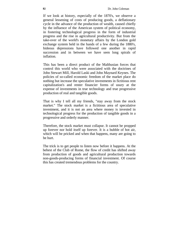If we look at history, especially of the 1870's, we observe a general lessening of costs of producing goods, a deflationary cycle in the advance of the production of wealth, caused chiefly by the influence of the American system of political economy, in fostering technological progress in the form of industrial progress and the rise in agricultural productivity. But from the take-over of the world's monetary affairs by the London gold exchange system held in the hands of a few during the 1880's, hideous depressions have followed one another in rapid succession and in between we have seen long spirals of inflation.

This has been a direct product of the Malthusian forces that control this world who were associated with the doctrines of John Stewart Mill, Harold Laski and John Maynard Keynes. The policies of so-called economic freedom of the market place do nothing but increase the speculative investments in fictitious rent capitalization's and renter financier forms of usury at the expense of investments in true technology and true progressive production of real and tangible goods.

That is why I tell all my friends, "stay away from the stock market." The stock market is a fictitious area of speculative investment, and it is not an area where money is invested in technological progress for the production of tangible goods in a progressive and orderly manner.

Therefore, the stock market must collapse. It cannot be propped up forever nor hold itself up forever. It is a bubble of hot air, which will be pricked and when that happens, many are going to be hurt.

The trick is to get people to listen now before it happens. At the behest of the Club of Rome, the flow of credit has shifted away from production of goods and agricultural production towards non-goods-producing forms of financial investment. Of course this has created tremendous problems for the country.